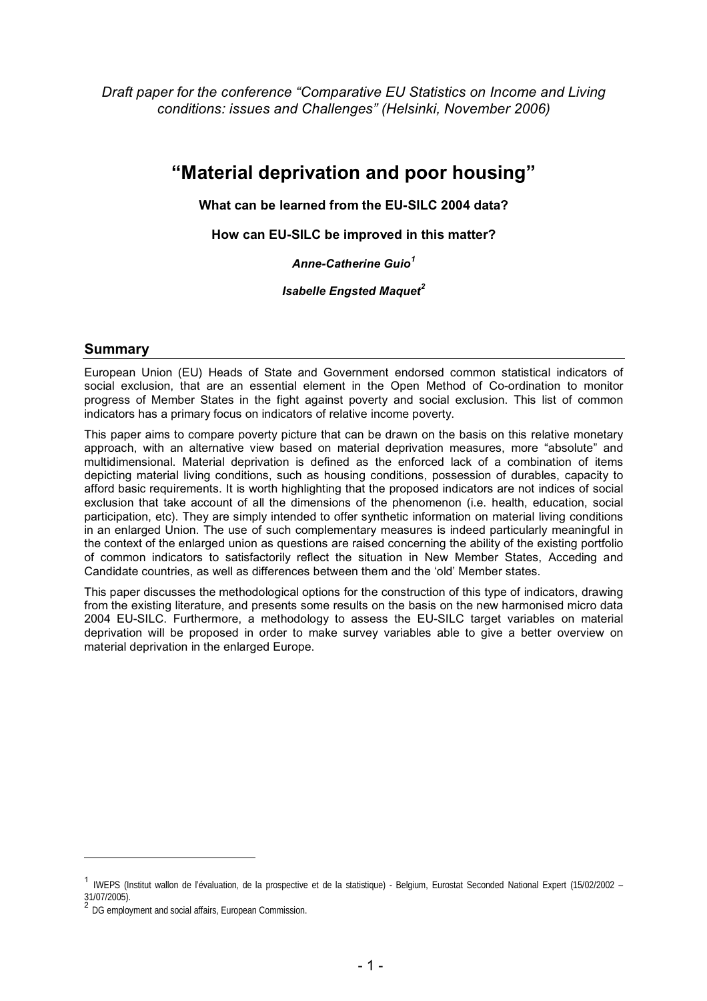*Draft paper for the conference "Comparative EU Statistics on Income and Living conditions: issues and Challenges" (Helsinki, November 2006)*

# **"Material deprivation and poor housing"**

**What can be learned from the EU-SILC 2004 data?**

**How can EU-SILC be improved in this matter?**

*Anne-Catherine Guio<sup>1</sup>*

*Isabelle Engsted Maquet<sup>2</sup>*

# **Summary**

European Union (EU) Heads of State and Government endorsed common statistical indicators of social exclusion, that are an essential element in the Open Method of Co-ordination to monitor progress of Member States in the fight against poverty and social exclusion. This list of common indicators has a primary focus on indicators of relative income poverty.

This paper aims to compare poverty picture that can be drawn on the basis on this relative monetary approach, with an alternative view based on material deprivation measures, more "absolute" and multidimensional. Material deprivation is defined as the enforced lack of a combination of items depicting material living conditions, such as housing conditions, possession of durables, capacity to afford basic requirements. It is worth highlighting that the proposed indicators are not indices of social exclusion that take account of all the dimensions of the phenomenon (i.e. health, education, social participation, etc). They are simply intended to offer synthetic information on material living conditions in an enlarged Union. The use of such complementary measures is indeed particularly meaningful in the context of the enlarged union as questions are raised concerning the ability of the existing portfolio of common indicators to satisfactorily reflect the situation in New Member States, Acceding and Candidate countries, as well as differences between them and the 'old' Member states.

This paper discusses the methodological options for the construction of this type of indicators, drawing from the existing literature, and presents some results on the basis on the new harmonised micro data 2004 EU-SILC. Furthermore, a methodology to assess the EU-SILC target variables on material deprivation will be proposed in order to make survey variables able to give a better overview on material deprivation in the enlarged Europe.

j

<sup>&</sup>lt;sup>1</sup> IWEPS (Institut wallon de l'évaluation, de la prospective et de la statistique) - Belgium, Eurostat Seconded National Expert (15/02/2002 – 31/07/2005).

DG employment and social affairs, European Commission.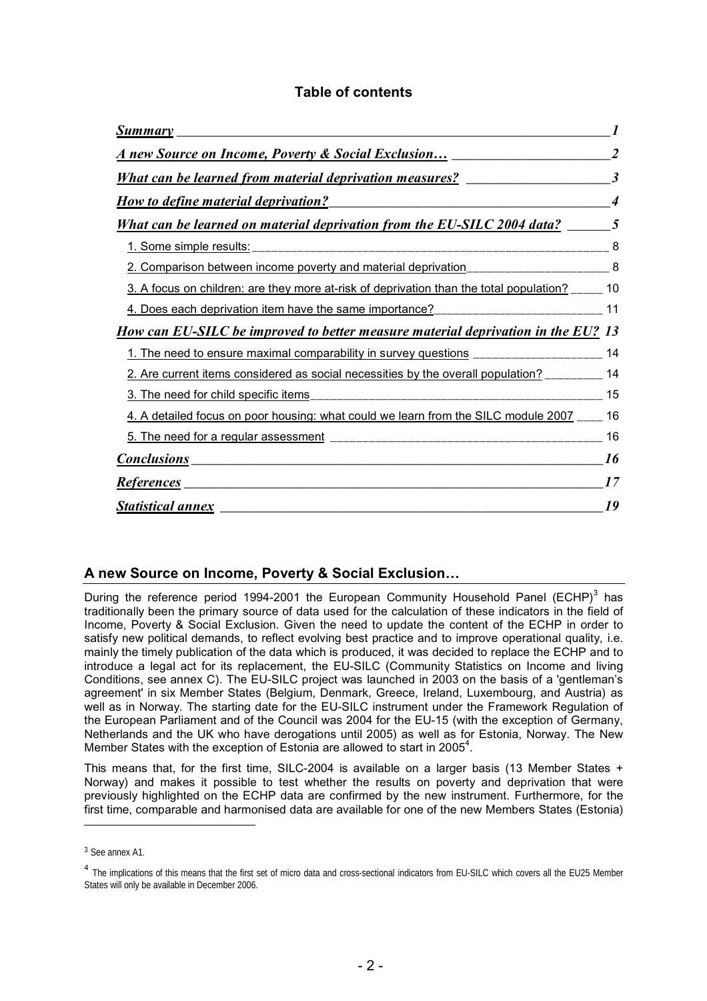| <b>Summary</b>                                                                          | 1              |
|-----------------------------------------------------------------------------------------|----------------|
| <u>A new Source on Income, Poverty &amp; Social Exclusion</u>                           | $\mathfrak{D}$ |
| <b>What can be learned from material deprivation measures?</b>                          | 3              |
| <b>How to define material deprivation?</b>                                              |                |
| What can be learned on material deprivation from the EU-SILC 2004 data?                 | $\sqrt{2}$     |
| 1. Some simple results:                                                                 | 8              |
| 2. Comparison between income poverty and material deprivation___________________        | 8              |
| 3. A focus on children: are they more at-risk of deprivation than the total population? | 10             |
| 4. Does each deprivation item have the same importance? ________________________        | 11             |
| <u>How can EU-SILC be improved to better measure material deprivation in the EU?</u>    | 13             |
| 1. The need to ensure maximal comparability in survey questions ________________        | 14             |
| 2. Are current items considered as social necessities by the overall population?        | 14             |
| 3. The need for child specific items                                                    | 15             |
| 4. A detailed focus on poor housing: what could we learn from the SILC module 2007      | 16             |
| 5. The need for a regular assessment                                                    | 16             |
| <b>Conclusions</b>                                                                      | 16             |
| <u>References</u>                                                                       | 17             |
| <b>Statistical annex</b>                                                                | 19             |

# **Table of contents**

# **A new Source on Income, Poverty & Social Exclusion…**

During the reference period 1994-2001 the European Community Household Panel (ECHP)<sup>3</sup> has traditionally been the primary source of data used for the calculation of these indicators in the field of Income, Poverty & Social Exclusion. Given the need to update the content of the ECHP in order to satisfy new political demands, to reflect evolving best practice and to improve operational quality, i.e. mainly the timely publication of the data which is produced, it was decided to replace the ECHP and to introduce a legal act for its replacement, the EU-SILC (Community Statistics on Income and living Conditions, see annex C). The EU-SILC project was launched in 2003 on the basis of a 'gentleman's agreement' in six Member States (Belgium, Denmark, Greece, Ireland, Luxembourg, and Austria) as well as in Norway. The starting date for the EU-SILC instrument under the Framework Regulation of the European Parliament and of the Council was 2004 for the EU-15 (with the exception of Germany, Netherlands and the UK who have derogations until 2005) as well as for Estonia, Norway. The New Member States with the exception of Estonia are allowed to start in 2005<sup>4</sup>.

This means that, for the first time, SILC-2004 is available on a larger basis (13 Member States + Norway) and makes it possible to test whether the results on poverty and deprivation that were previously highlighted on the ECHP data are confirmed by the new instrument. Furthermore, for the first time, comparable and harmonised data are available for one of the new Members States (Estonia)

<sup>3</sup> See annex A1.

<sup>&</sup>lt;sup>4</sup> The implications of this means that the first set of micro data and cross-sectional indicators from EU-SILC which covers all the EU25 Member States will only be available in December 2006.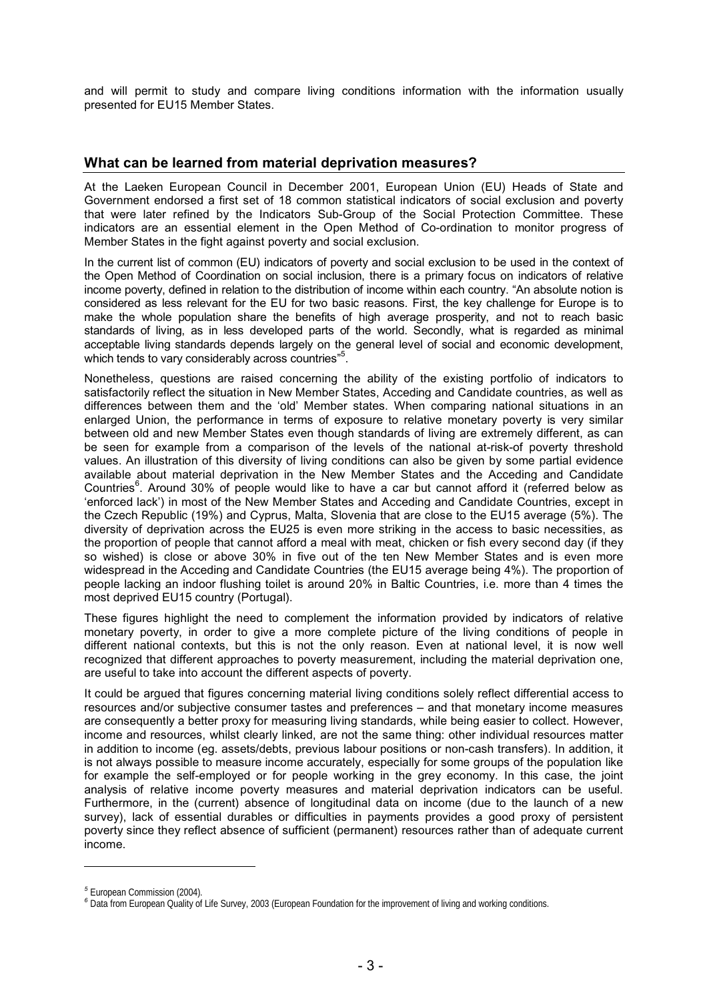and will permit to study and compare living conditions information with the information usually presented for EU15 Member States.

# **What can be learned from material deprivation measures?**

At the Laeken European Council in December 2001, European Union (EU) Heads of State and Government endorsed a first set of 18 common statistical indicators of social exclusion and poverty that were later refined by the Indicators Sub-Group of the Social Protection Committee. These indicators are an essential element in the Open Method of Co-ordination to monitor progress of Member States in the fight against poverty and social exclusion.

In the current list of common (EU) indicators of poverty and social exclusion to be used in the context of the Open Method of Coordination on social inclusion, there is a primary focus on indicators of relative income poverty, defined in relation to the distribution of income within each country. "An absolute notion is considered as less relevant for the EU for two basic reasons. First, the key challenge for Europe is to make the whole population share the benefits of high average prosperity, and not to reach basic standards of living, as in less developed parts of the world. Secondly, what is regarded as minimal acceptable living standards depends largely on the general level of social and economic development, which tends to vary considerably across countries"<sup>5</sup>.

Nonetheless, questions are raised concerning the ability of the existing portfolio of indicators to satisfactorily reflect the situation in New Member States, Acceding and Candidate countries, as well as differences between them and the 'old' Member states. When comparing national situations in an enlarged Union, the performance in terms of exposure to relative monetary poverty is very similar between old and new Member States even though standards of living are extremely different, as can be seen for example from a comparison of the levels of the national at-risk-of poverty threshold values. An illustration of this diversity of living conditions can also be given by some partial evidence available about material deprivation in the New Member States and the Acceding and Candidate Countries<sup>6</sup>. Around 30% of people would like to have a car but cannot afford it (referred below as 'enforced lack') in most of the New Member States and Acceding and Candidate Countries, except in the Czech Republic (19%) and Cyprus, Malta, Slovenia that are close to the EU15 average (5%). The diversity of deprivation across the EU25 is even more striking in the access to basic necessities, as the proportion of people that cannot afford a meal with meat, chicken or fish every second day (if they so wished) is close or above 30% in five out of the ten New Member States and is even more widespread in the Acceding and Candidate Countries (the EU15 average being 4%). The proportion of people lacking an indoor flushing toilet is around 20% in Baltic Countries, i.e. more than 4 times the most deprived EU15 country (Portugal).

These figures highlight the need to complement the information provided by indicators of relative monetary poverty, in order to give a more complete picture of the living conditions of people in different national contexts, but this is not the only reason. Even at national level, it is now well recognized that different approaches to poverty measurement, including the material deprivation one, are useful to take into account the different aspects of poverty.

It could be argued that figures concerning material living conditions solely reflect differential access to resources and/or subjective consumer tastes and preferences – and that monetary income measures are consequently a better proxy for measuring living standards, while being easier to collect. However, income and resources, whilst clearly linked, are not the same thing: other individual resources matter in addition to income (eg. assets/debts, previous labour positions or non-cash transfers). In addition, it is not always possible to measure income accurately, especially for some groups of the population like for example the self-employed or for people working in the grey economy. In this case, the joint analysis of relative income poverty measures and material deprivation indicators can be useful. Furthermore, in the (current) absence of longitudinal data on income (due to the launch of a new survey), lack of essential durables or difficulties in payments provides a good proxy of persistent poverty since they reflect absence of sufficient (permanent) resources rather than of adequate current income.

*<sup>5</sup>* European Commission (2004).

*<sup>6</sup>* Data from European Quality of Life Survey, 2003 (European Foundation for the improvement of living and working conditions.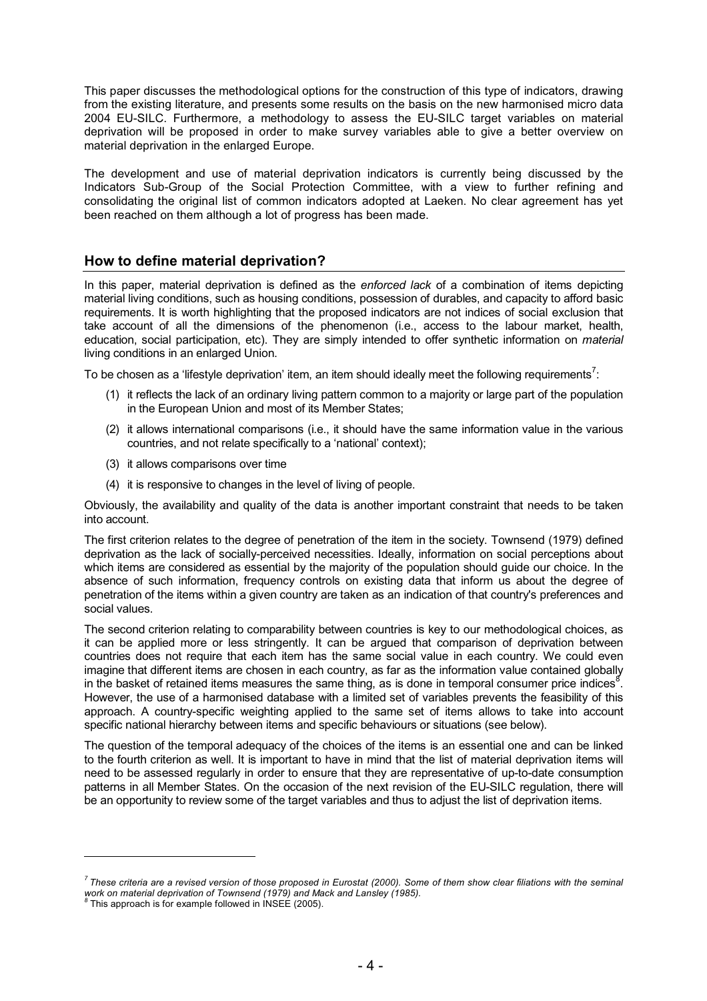This paper discusses the methodological options for the construction of this type of indicators, drawing from the existing literature, and presents some results on the basis on the new harmonised micro data 2004 EU-SILC. Furthermore, a methodology to assess the EU-SILC target variables on material deprivation will be proposed in order to make survey variables able to give a better overview on material deprivation in the enlarged Europe.

The development and use of material deprivation indicators is currently being discussed by the Indicators Sub-Group of the Social Protection Committee, with a view to further refining and consolidating the original list of common indicators adopted at Laeken. No clear agreement has yet been reached on them although a lot of progress has been made.

# **How to define material deprivation?**

In this paper, material deprivation is defined as the *enforced lack* of a combination of items depicting material living conditions, such as housing conditions, possession of durables, and capacity to afford basic requirements. It is worth highlighting that the proposed indicators are not indices of social exclusion that take account of all the dimensions of the phenomenon (i.e., access to the labour market, health, education, social participation, etc). They are simply intended to offer synthetic information on *material* living conditions in an enlarged Union.

To be chosen as a 'lifestyle deprivation' item, an item should ideally meet the following requirements<sup>7</sup>:

- (1) it reflects the lack of an ordinary living pattern common to a majority or large part of the population in the European Union and most of its Member States;
- (2) it allows international comparisons (i.e., it should have the same information value in the various countries, and not relate specifically to a 'national' context);
- (3) it allows comparisons over time
- (4) it is responsive to changes in the level of living of people.

Obviously, the availability and quality of the data is another important constraint that needs to be taken into account.

The first criterion relates to the degree of penetration of the item in the society. Townsend (1979) defined deprivation as the lack of socially-perceived necessities. Ideally, information on social perceptions about which items are considered as essential by the majority of the population should guide our choice. In the absence of such information, frequency controls on existing data that inform us about the degree of penetration of the items within a given country are taken as an indication of that country's preferences and social values.

The second criterion relating to comparability between countries is key to our methodological choices, as it can be applied more or less stringently. It can be argued that comparison of deprivation between countries does not require that each item has the same social value in each country. We could even imagine that different items are chosen in each country, as far as the information value contained globally in the basket of retained items measures the same thing, as is done in temporal consumer price indices $^{\rm g}$ . However, the use of a harmonised database with a limited set of variables prevents the feasibility of this approach. A country-specific weighting applied to the same set of items allows to take into account specific national hierarchy between items and specific behaviours or situations (see below).

The question of the temporal adequacy of the choices of the items is an essential one and can be linked to the fourth criterion as well. It is important to have in mind that the list of material deprivation items will need to be assessed regularly in order to ensure that they are representative of up-to-date consumption patterns in all Member States. On the occasion of the next revision of the EU-SILC regulation, there will be an opportunity to review some of the target variables and thus to adjust the list of deprivation items.

j

*<sup>7</sup> These criteria are a revised version of those proposed in Eurostat (2000). Some of them show clear filiations with the seminal work on material deprivation of Townsend (1979) and Mack and Lansley (1985).*

This approach is for example followed in INSEE (2005).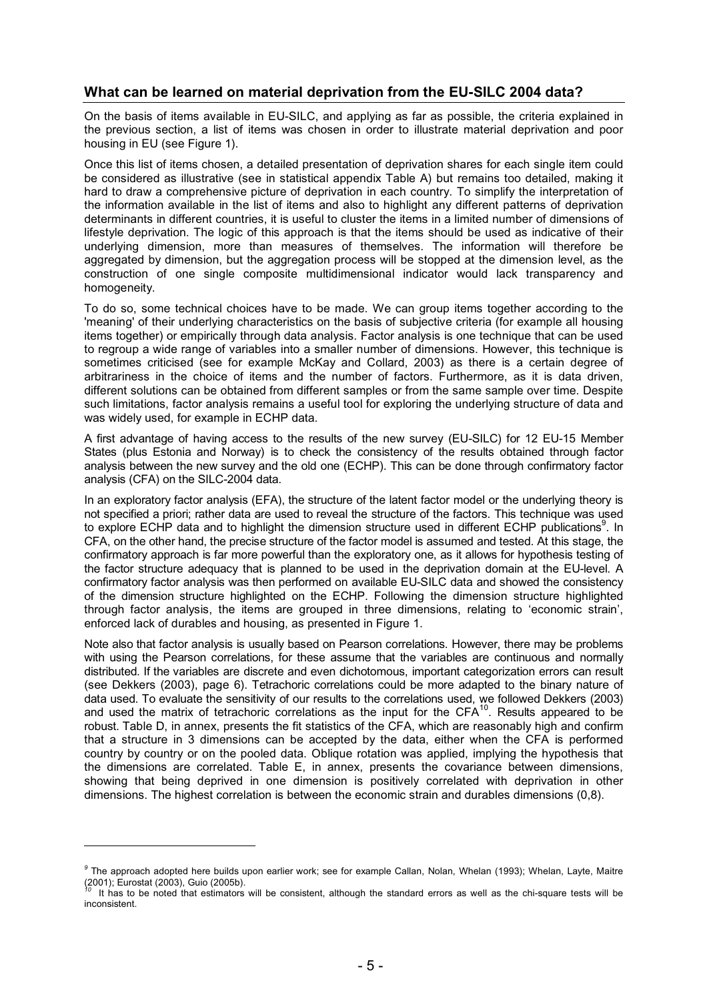# **What can be learned on material deprivation from the EU-SILC 2004 data?**

On the basis of items available in EU-SILC, and applying as far as possible, the criteria explained in the previous section, a list of items was chosen in order to illustrate material deprivation and poor housing in EU (see Figure 1).

Once this list of items chosen, a detailed presentation of deprivation shares for each single item could be considered as illustrative (see in statistical appendix Table A) but remains too detailed, making it hard to draw a comprehensive picture of deprivation in each country. To simplify the interpretation of the information available in the list of items and also to highlight any different patterns of deprivation determinants in different countries, it is useful to cluster the items in a limited number of dimensions of lifestyle deprivation. The logic of this approach is that the items should be used as indicative of their underlying dimension, more than measures of themselves. The information will therefore be aggregated by dimension, but the aggregation process will be stopped at the dimension level, as the construction of one single composite multidimensional indicator would lack transparency and homogeneity.

To do so, some technical choices have to be made. We can group items together according to the 'meaning' of their underlying characteristics on the basis of subjective criteria (for example all housing items together) or empirically through data analysis. Factor analysis is one technique that can be used to regroup a wide range of variables into a smaller number of dimensions. However, this technique is sometimes criticised (see for example McKay and Collard, 2003) as there is a certain degree of arbitrariness in the choice of items and the number of factors. Furthermore, as it is data driven, different solutions can be obtained from different samples or from the same sample over time. Despite such limitations, factor analysis remains a useful tool for exploring the underlying structure of data and was widely used, for example in ECHP data.

A first advantage of having access to the results of the new survey (EU-SILC) for 12 EU-15 Member States (plus Estonia and Norway) is to check the consistency of the results obtained through factor analysis between the new survey and the old one (ECHP). This can be done through confirmatory factor analysis (CFA) on the SILC-2004 data.

In an exploratory factor analysis (EFA), the structure of the latent factor model or the underlying theory is not specified a priori; rather data are used to reveal the structure of the factors. This technique was used to explore ECHP data and to highlight the dimension structure used in different ECHP publications<sup>9</sup>. In CFA, on the other hand, the precise structure of the factor model is assumed and tested. At this stage, the confirmatory approach is far more powerful than the exploratory one, as it allows for hypothesis testing of the factor structure adequacy that is planned to be used in the deprivation domain at the EU-level. A confirmatory factor analysis was then performed on available EU-SILC data and showed the consistency of the dimension structure highlighted on the ECHP. Following the dimension structure highlighted through factor analysis, the items are grouped in three dimensions, relating to 'economic strain', enforced lack of durables and housing, as presented in Figure 1.

Note also that factor analysis is usually based on Pearson correlations. However, there may be problems with using the Pearson correlations, for these assume that the variables are continuous and normally distributed. If the variables are discrete and even dichotomous, important categorization errors can result (see Dekkers (2003), page 6). Tetrachoric correlations could be more adapted to the binary nature of data used. To evaluate the sensitivity of our results to the correlations used, we followed Dekkers (2003) and used the matrix of tetrachoric correlations as the input for the CFA $^{10}$ . Results appeared to be robust. Table D, in annex, presents the fit statistics of the CFA, which are reasonably high and confirm that a structure in 3 dimensions can be accepted by the data, either when the CFA is performed country by country or on the pooled data. Oblique rotation was applied, implying the hypothesis that the dimensions are correlated. Table E, in annex, presents the covariance between dimensions, showing that being deprived in one dimension is positively correlated with deprivation in other dimensions. The highest correlation is between the economic strain and durables dimensions (0,8).

*<sup>9</sup>* The approach adopted here builds upon earlier work; see for example Callan, Nolan, Whelan (1993); Whelan, Layte, Maitre (2001); Eurostat (2003), Guio (2005b).

It has to be noted that estimators will be consistent, although the standard errors as well as the chi-square tests will be inconsistent.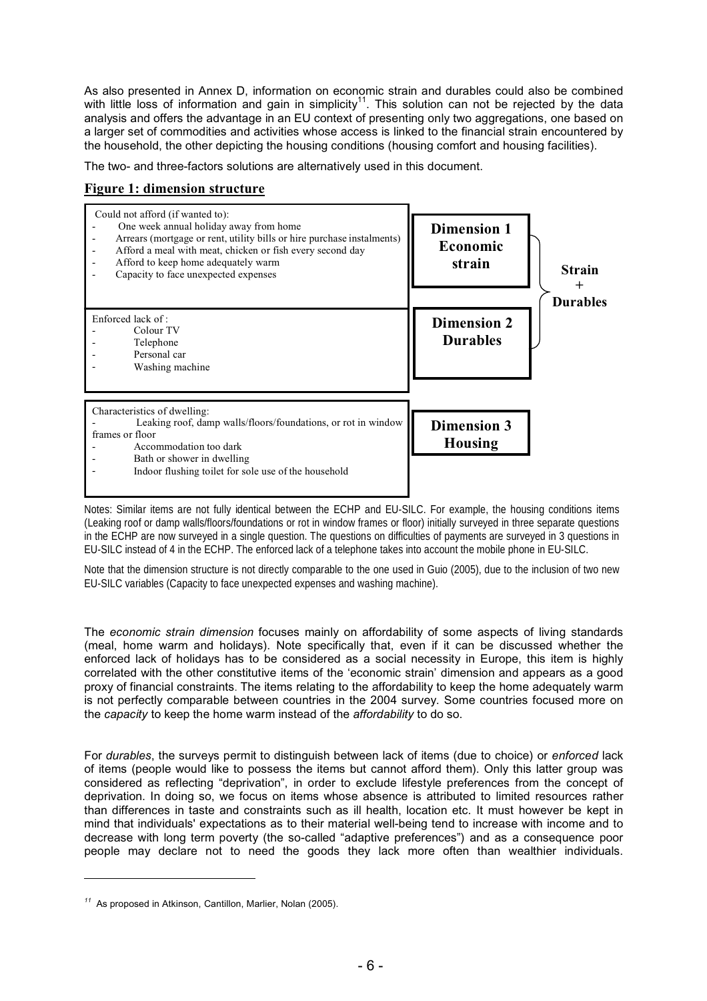As also presented in Annex D, information on economic strain and durables could also be combined with little loss of information and gain in simplicity<sup>11</sup>. This solution can not be rejected by the data analysis and offers the advantage in an EU context of presenting only two aggregations, one based on a larger set of commodities and activities whose access is linked to the financial strain encountered by the household, the other depicting the housing conditions (housing comfort and housing facilities).

The two- and three-factors solutions are alternatively used in this document.

# **Figure 1: dimension structure**



Notes: Similar items are not fully identical between the ECHP and EU-SILC. For example, the housing conditions items (Leaking roof or damp walls/floors/foundations or rot in window frames or floor) initially surveyed in three separate questions in the ECHP are now surveyed in a single question. The questions on difficulties of payments are surveyed in 3 questions in EU-SILC instead of 4 in the ECHP. The enforced lack of a telephone takes into account the mobile phone in EU-SILC.

Note that the dimension structure is not directly comparable to the one used in Guio (2005), due to the inclusion of two new EU-SILC variables (Capacity to face unexpected expenses and washing machine).

The *economic strain dimension* focuses mainly on affordability of some aspects of living standards (meal, home warm and holidays). Note specifically that, even if it can be discussed whether the enforced lack of holidays has to be considered as a social necessity in Europe, this item is highly correlated with the other constitutive items of the 'economic strain' dimension and appears as a good proxy of financial constraints. The items relating to the affordability to keep the home adequately warm is not perfectly comparable between countries in the 2004 survey. Some countries focused more on the *capacity* to keep the home warm instead of the *affordability* to do so.

For *durables*, the surveys permit to distinguish between lack of items (due to choice) or *enforced* lack of items (people would like to possess the items but cannot afford them). Only this latter group was considered as reflecting "deprivation", in order to exclude lifestyle preferences from the concept of deprivation. In doing so, we focus on items whose absence is attributed to limited resources rather than differences in taste and constraints such as ill health, location etc. It must however be kept in mind that individuals' expectations as to their material well-being tend to increase with income and to decrease with long term poverty (the so-called "adaptive preferences") and as a consequence poor people may declare not to need the goods they lack more often than wealthier individuals.

j

*<sup>11</sup>* As proposed in Atkinson, Cantillon, Marlier, Nolan (2005).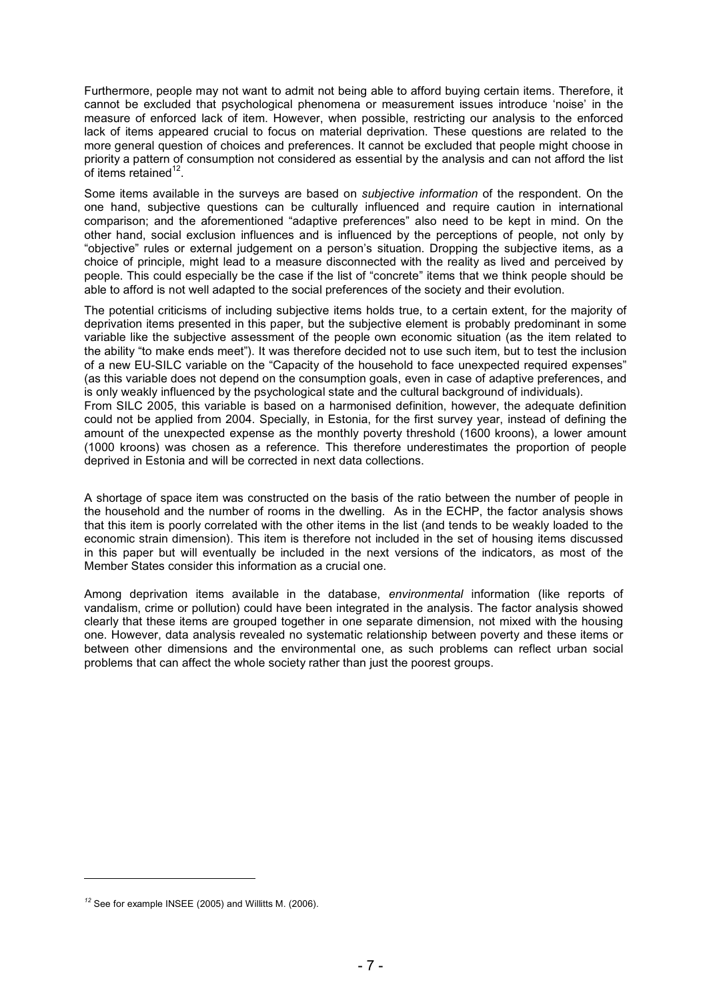Furthermore, people may not want to admit not being able to afford buying certain items. Therefore, it cannot be excluded that psychological phenomena or measurement issues introduce 'noise' in the measure of enforced lack of item. However, when possible, restricting our analysis to the enforced lack of items appeared crucial to focus on material deprivation. These questions are related to the more general question of choices and preferences. It cannot be excluded that people might choose in priority a pattern of consumption not considered as essential by the analysis and can not afford the list of items retained $12$ .

Some items available in the surveys are based on *subjective information* of the respondent. On the one hand, subjective questions can be culturally influenced and require caution in international comparison; and the aforementioned "adaptive preferences" also need to be kept in mind. On the other hand, social exclusion influences and is influenced by the perceptions of people, not only by "objective" rules or external judgement on a person's situation. Dropping the subjective items, as a choice of principle, might lead to a measure disconnected with the reality as lived and perceived by people. This could especially be the case if the list of "concrete" items that we think people should be able to afford is not well adapted to the social preferences of the society and their evolution.

The potential criticisms of including subjective items holds true, to a certain extent, for the majority of deprivation items presented in this paper, but the subjective element is probably predominant in some variable like the subjective assessment of the people own economic situation (as the item related to the ability "to make ends meet"). It was therefore decided not to use such item, but to test the inclusion of a new EU-SILC variable on the "Capacity of the household to face unexpected required expenses" (as this variable does not depend on the consumption goals, even in case of adaptive preferences, and is only weakly influenced by the psychological state and the cultural background of individuals).

From SILC 2005, this variable is based on a harmonised definition, however, the adequate definition could not be applied from 2004. Specially, in Estonia, for the first survey year, instead of defining the amount of the unexpected expense as the monthly poverty threshold (1600 kroons), a lower amount (1000 kroons) was chosen as a reference. This therefore underestimates the proportion of people deprived in Estonia and will be corrected in next data collections.

A shortage of space item was constructed on the basis of the ratio between the number of people in the household and the number of rooms in the dwelling. As in the ECHP, the factor analysis shows that this item is poorly correlated with the other items in the list (and tends to be weakly loaded to the economic strain dimension). This item is therefore not included in the set of housing items discussed in this paper but will eventually be included in the next versions of the indicators, as most of the Member States consider this information as a crucial one.

Among deprivation items available in the database, *environmental* information (like reports of vandalism, crime or pollution) could have been integrated in the analysis. The factor analysis showed clearly that these items are grouped together in one separate dimension, not mixed with the housing one. However, data analysis revealed no systematic relationship between poverty and these items or between other dimensions and the environmental one, as such problems can reflect urban social problems that can affect the whole society rather than just the poorest groups.

j

<sup>&</sup>lt;sup>12</sup> See for example INSEE (2005) and Willitts M. (2006).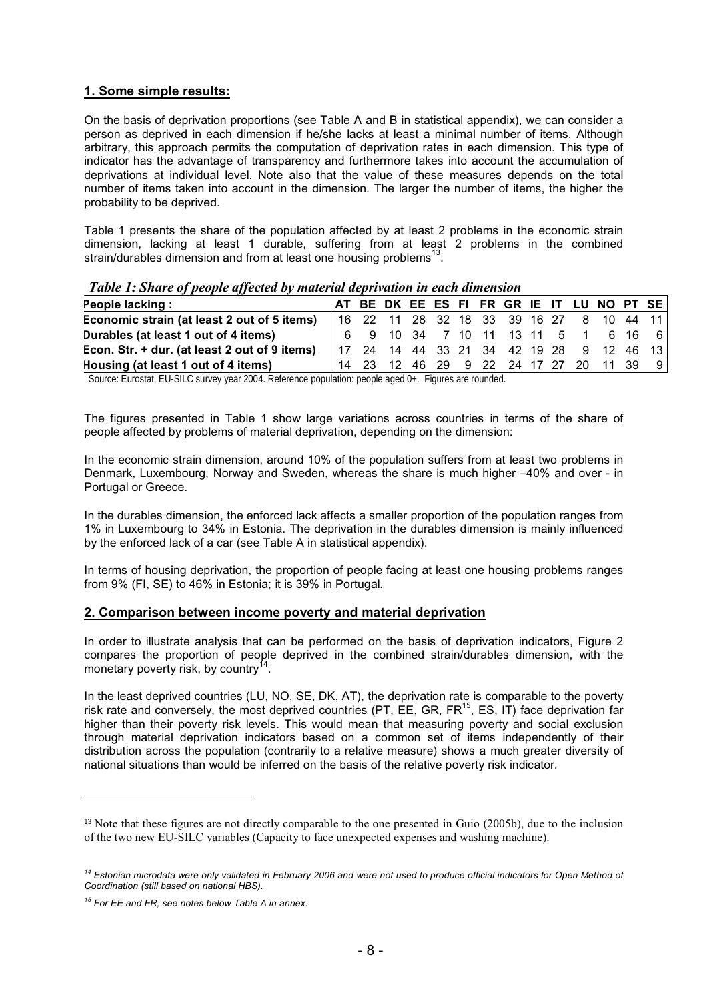# **1. Some simple results:**

On the basis of deprivation proportions (see Table A and B in statistical appendix), we can consider a person as deprived in each dimension if he/she lacks at least a minimal number of items. Although arbitrary, this approach permits the computation of deprivation rates in each dimension. This type of indicator has the advantage of transparency and furthermore takes into account the accumulation of deprivations at individual level. Note also that the value of these measures depends on the total number of items taken into account in the dimension. The larger the number of items, the higher the probability to be deprived.

Table 1 presents the share of the population affected by at least 2 problems in the economic strain dimension, lacking at least 1 durable, suffering from at least 2 problems in the combined strain/durables dimension and from at least one housing problems<sup>13</sup>.

*Table 1: Share of people affected by material deprivation in each dimension* 

| People lacking:                               |  |  |  |  |  | AT BE DK EE ES FI FR GR IE IT LU NO PT SE |  |
|-----------------------------------------------|--|--|--|--|--|-------------------------------------------|--|
| Economic strain (at least 2 out of 5 items)   |  |  |  |  |  | 16 22 11 28 32 18 33 39 16 27 8 10 44 11  |  |
| Durables (at least 1 out of 4 items)          |  |  |  |  |  | 6 9 10 34 7 10 11 13 11 5 1 6 16 6        |  |
| Econ. Str. + dur. (at least 2 out of 9 items) |  |  |  |  |  | 17 24 14 44 33 21 34 42 19 28 9 12 46 13  |  |
| Housing (at least 1 out of 4 items)           |  |  |  |  |  | 14 23 12 46 29 9 22 24 17 27 20 11 39     |  |

Source: Eurostat, EU-SILC survey year 2004. Reference population: people aged 0+. Figures are rounded.

The figures presented in Table 1 show large variations across countries in terms of the share of people affected by problems of material deprivation, depending on the dimension:

In the economic strain dimension, around 10% of the population suffers from at least two problems in Denmark, Luxembourg, Norway and Sweden, whereas the share is much higher –40% and over - in Portugal or Greece.

In the durables dimension, the enforced lack affects a smaller proportion of the population ranges from 1% in Luxembourg to 34% in Estonia. The deprivation in the durables dimension is mainly influenced by the enforced lack of a car (see Table A in statistical appendix).

In terms of housing deprivation, the proportion of people facing at least one housing problems ranges from 9% (FI, SE) to 46% in Estonia; it is 39% in Portugal.

### **2. Comparison between income poverty and material deprivation**

In order to illustrate analysis that can be performed on the basis of deprivation indicators, Figure 2 compares the proportion of people deprived in the combined strain/durables dimension, with the monetary poverty risk, by country<sup>14</sup>.

In the least deprived countries (LU, NO, SE, DK, AT), the deprivation rate is comparable to the poverty risk rate and conversely, the most deprived countries (PT, EE, GR, FR $^{15}$ , ES, IT) face deprivation far higher than their poverty risk levels. This would mean that measuring poverty and social exclusion through material deprivation indicators based on a common set of items independently of their distribution across the population (contrarily to a relative measure) shows a much greater diversity of national situations than would be inferred on the basis of the relative poverty risk indicator.

<sup>&</sup>lt;sup>13</sup> Note that these figures are not directly comparable to the one presented in Guio (2005b), due to the inclusion of the two new EU-SILC variables (Capacity to face unexpected expenses and washing machine).

*<sup>14</sup> Estonian microdata were only validated in February 2006 and were not used to produce official indicators for Open Method of Coordination (still based on national HBS).*

*<sup>15</sup> For EE and FR, see notes below Table A in annex.*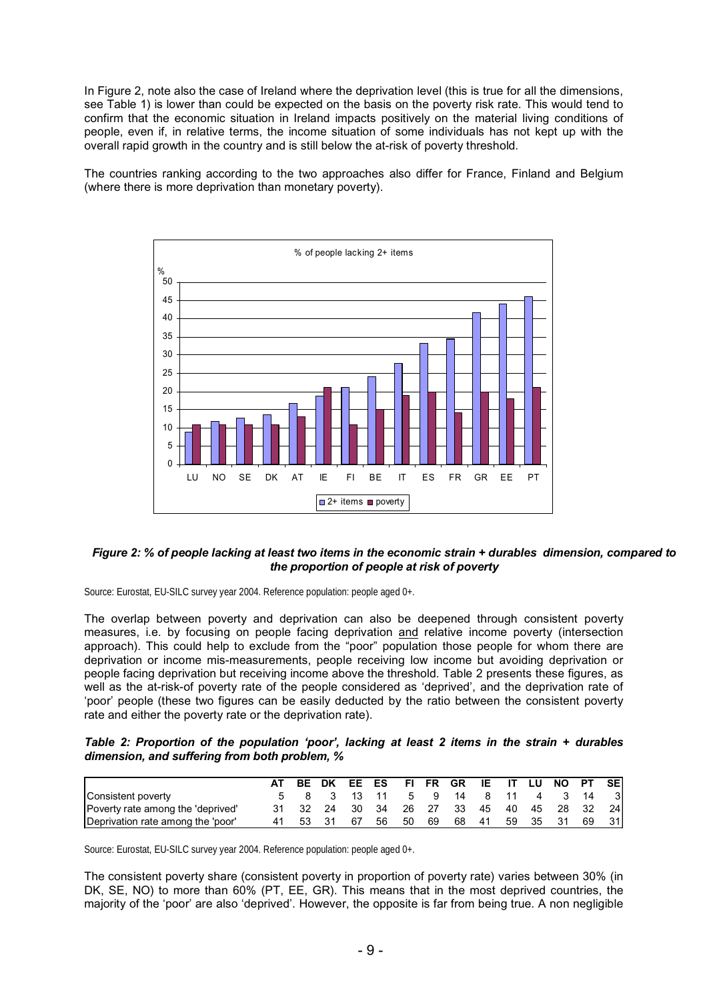In Figure 2, note also the case of Ireland where the deprivation level (this is true for all the dimensions, see Table 1) is lower than could be expected on the basis on the poverty risk rate. This would tend to confirm that the economic situation in Ireland impacts positively on the material living conditions of people, even if, in relative terms, the income situation of some individuals has not kept up with the overall rapid growth in the country and is still below the at-risk of poverty threshold.

The countries ranking according to the two approaches also differ for France, Finland and Belgium (where there is more deprivation than monetary poverty).



#### *Figure 2: % of people lacking at least two items in the economic strain + durables dimension, compared to the proportion of people at risk of poverty*

Source: Eurostat, EU-SILC survey year 2004. Reference population: people aged 0+.

The overlap between poverty and deprivation can also be deepened through consistent poverty measures, i.e. by focusing on people facing deprivation and relative income poverty (intersection approach). This could help to exclude from the "poor" population those people for whom there are deprivation or income mis-measurements, people receiving low income but avoiding deprivation or people facing deprivation but receiving income above the threshold. Table 2 presents these figures, as well as the at-risk-of poverty rate of the people considered as 'deprived', and the deprivation rate of 'poor' people (these two figures can be easily deducted by the ratio between the consistent poverty rate and either the poverty rate or the deprivation rate).

*Table 2: Proportion of the population 'poor', lacking at least 2 items in the strain + durables dimension, and suffering from both problem, %*

|                                   | AT | BE DK    |      |    | EE ES FIFR GR |     |    |                    |     |          | IE IT LU NO PT SE |    |      |
|-----------------------------------|----|----------|------|----|---------------|-----|----|--------------------|-----|----------|-------------------|----|------|
| Consistent poverty                |    |          |      |    | 8 3 13 11     |     |    | 5 9 14 8 11 4 3 14 |     |          |                   |    | - 31 |
| Poverty rate among the 'deprived' |    | 31 32 24 |      |    |               |     |    | 30 34 26 27 33     |     |          | 45 40 45 28 32    |    | -241 |
| Deprivation rate among the 'poor' |    | 53       | - 31 | 67 | 56            | -50 | 69 | 68                 | -41 | 59 35 31 |                   | 69 | 31I  |

Source: Eurostat, EU-SILC survey year 2004. Reference population: people aged 0+.

The consistent poverty share (consistent poverty in proportion of poverty rate) varies between 30% (in DK, SE, NO) to more than 60% (PT, EE, GR). This means that in the most deprived countries, the majority of the 'poor' are also 'deprived'. However, the opposite is far from being true. A non negligible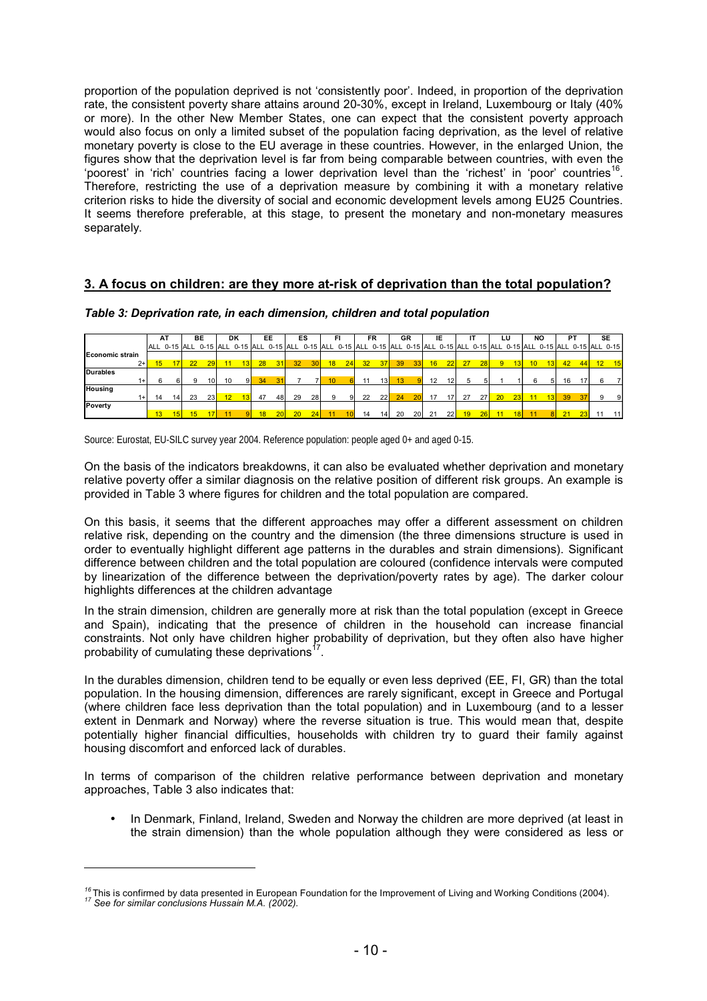proportion of the population deprived is not 'consistently poor'. Indeed, in proportion of the deprivation rate, the consistent poverty share attains around 20-30%, except in Ireland, Luxembourg or Italy (40% or more). In the other New Member States, one can expect that the consistent poverty approach would also focus on only a limited subset of the population facing deprivation, as the level of relative monetary poverty is close to the EU average in these countries. However, in the enlarged Union, the figures show that the deprivation level is far from being comparable between countries, with even the 'poorest' in 'rich' countries facing a lower deprivation level than the 'richest' in 'poor' countries<sup>16</sup>. Therefore, restricting the use of a deprivation measure by combining it with a monetary relative criterion risks to hide the diversity of social and economic development levels among EU25 Countries. It seems therefore preferable, at this stage, to present the monetary and non-monetary measures separately.

# **3. A focus on children: are they more at-risk of deprivation than the total population?**

|                        |                 | ΑT              |    | ВE              |    | DK                                                                                                                                     |    | EE              |                 | ES              |                  | FI.             |    | FR              | GR |                 |    | IE              |    |    |                | LU              |                 | NO |    | РT              | SE |           |
|------------------------|-----------------|-----------------|----|-----------------|----|----------------------------------------------------------------------------------------------------------------------------------------|----|-----------------|-----------------|-----------------|------------------|-----------------|----|-----------------|----|-----------------|----|-----------------|----|----|----------------|-----------------|-----------------|----|----|-----------------|----|-----------|
|                        |                 |                 |    |                 |    | ALL 0-15 ALL 0-15 ALL 0-15 ALL 0-15 ALL 0-15 ALL 0-15 ALL 0-15 ALL 0-15 ALL 0-15 ALL 0-15 ALL 0-15 ALL 0-15 ALL 0-15 ALL 0-15 ALL 0-15 |    |                 |                 |                 |                  |                 |    |                 |    |                 |    |                 |    |    |                |                 |                 |    |    |                 |    |           |
| <b>Economic strain</b> |                 |                 |    |                 |    |                                                                                                                                        |    |                 |                 |                 |                  |                 |    |                 |    |                 |    |                 |    |    |                |                 |                 |    |    |                 |    |           |
| $2 + 1$                | 15              | 17 <sup>1</sup> | 22 | 29              | 11 | 13                                                                                                                                     | 28 | 31              | 32 <sup>2</sup> | 30 <sup>1</sup> | 18               | 24              | 32 | 37              | 39 | 33 <sup>1</sup> | 16 | 22              | 27 | 28 | $\overline{9}$ | 13 <sup>l</sup> | 10 <sup>°</sup> | 13 | 42 | 44              |    | $12$ $15$ |
| <b>Durables</b>        |                 |                 |    |                 |    |                                                                                                                                        |    |                 |                 |                 |                  |                 |    |                 |    |                 |    |                 |    |    |                |                 |                 |    |    |                 |    |           |
| 1+1                    | 6               | 6               | 9  | 10 <sup>1</sup> | 10 | 9I                                                                                                                                     | 34 | 31              |                 |                 | 10 <sup>10</sup> |                 | 11 | 13 <sup>1</sup> | 13 |                 | 12 | 12 <sup>1</sup> | 5  |    |                |                 | 6               | 51 | 16 | 17              | 6  |           |
| <b>Housing</b>         |                 |                 |    |                 |    |                                                                                                                                        |    |                 |                 |                 |                  |                 |    |                 |    |                 |    |                 |    |    |                |                 |                 |    |    |                 |    |           |
| $1+$                   | 14              | 14              | 23 | 23              | 12 |                                                                                                                                        | 47 | 48              | 29              | 28              | 9                | 9               | 22 | 22              | 24 | 20              | 17 | 17 <sup>1</sup> | 27 | 27 | 20             | 23              | 11              | 13 | 39 | 37 <sup>l</sup> | 9  | 9         |
| Poverty                |                 |                 |    |                 |    |                                                                                                                                        |    |                 |                 |                 |                  |                 |    |                 |    |                 |    |                 |    |    |                |                 |                 |    |    |                 |    |           |
|                        | 13 <sup>1</sup> | 15              | 15 | 17              |    |                                                                                                                                        | 18 | 20 <sub>1</sub> | 20              | 24              | 11               | 10 <sup>1</sup> | 14 | 14 <sup>1</sup> | 20 | 20              | 21 | 22              | 19 | 26 | $-11$          | 18 <sup>1</sup> | 11              | 8I | 21 | 23              | 11 | 11        |

*Table 3: Deprivation rate, in each dimension, children and total population*

Source: Eurostat, EU-SILC survey year 2004. Reference population: people aged 0+ and aged 0-15.

On the basis of the indicators breakdowns, it can also be evaluated whether deprivation and monetary relative poverty offer a similar diagnosis on the relative position of different risk groups. An example is provided in Table 3 where figures for children and the total population are compared.

On this basis, it seems that the different approaches may offer a different assessment on children relative risk, depending on the country and the dimension (the three dimensions structure is used in order to eventually highlight different age patterns in the durables and strain dimensions). Significant difference between children and the total population are coloured (confidence intervals were computed by linearization of the difference between the deprivation/poverty rates by age). The darker colour highlights differences at the children advantage

In the strain dimension, children are generally more at risk than the total population (except in Greece and Spain), indicating that the presence of children in the household can increase financial constraints. Not only have children higher probability of deprivation, but they often also have higher probability of cumulating these deprivations<sup>1</sup>

In the durables dimension, children tend to be equally or even less deprived (EE, FI, GR) than the total population. In the housing dimension, differences are rarely significant, except in Greece and Portugal (where children face less deprivation than the total population) and in Luxembourg (and to a lesser extent in Denmark and Norway) where the reverse situation is true. This would mean that, despite potentially higher financial difficulties, households with children try to guard their family against housing discomfort and enforced lack of durables.

In terms of comparison of the children relative performance between deprivation and monetary approaches, Table 3 also indicates that:

• In Denmark, Finland, Ireland, Sweden and Norway the children are more deprived (at least in the strain dimension) than the whole population although they were considered as less or

*<sup>16</sup>*This is confirmed by data presented in European Foundation for the Improvement of Living and Working Conditions (2004). *17 See for similar conclusions Hussain M.A. (2002).*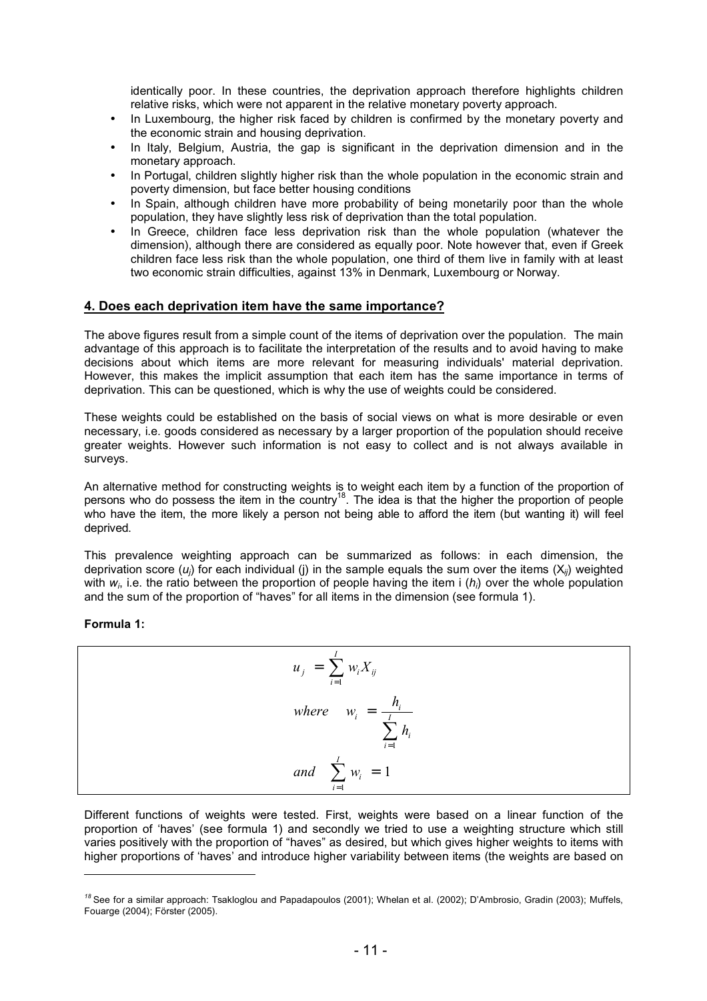identically poor. In these countries, the deprivation approach therefore highlights children relative risks, which were not apparent in the relative monetary poverty approach.

- In Luxembourg, the higher risk faced by children is confirmed by the monetary poverty and the economic strain and housing deprivation.
- In Italy, Belgium, Austria, the gap is significant in the deprivation dimension and in the monetary approach.
- In Portugal, children slightly higher risk than the whole population in the economic strain and poverty dimension, but face better housing conditions
- In Spain, although children have more probability of being monetarily poor than the whole population, they have slightly less risk of deprivation than the total population.
- In Greece, children face less deprivation risk than the whole population (whatever the dimension), although there are considered as equally poor. Note however that, even if Greek children face less risk than the whole population, one third of them live in family with at least two economic strain difficulties, against 13% in Denmark, Luxembourg or Norway.

### **4. Does each deprivation item have the same importance?**

The above figures result from a simple count of the items of deprivation over the population. The main advantage of this approach is to facilitate the interpretation of the results and to avoid having to make decisions about which items are more relevant for measuring individuals' material deprivation. However, this makes the implicit assumption that each item has the same importance in terms of deprivation. This can be questioned, which is why the use of weights could be considered.

These weights could be established on the basis of social views on what is more desirable or even necessary, i.e. goods considered as necessary by a larger proportion of the population should receive greater weights. However such information is not easy to collect and is not always available in surveys.

An alternative method for constructing weights is to weight each item by a function of the proportion of persons who do possess the item in the country<sup>18</sup>. The idea is that the higher the proportion of people who have the item, the more likely a person not being able to afford the item (but wanting it) will feel deprived.

This prevalence weighting approach can be summarized as follows: in each dimension, the deprivation score (*uj*) for each individual (j) in the sample equals the sum over the items (X*ij*) weighted with  $w_i$ , i.e. the ratio between the proportion of people having the item i ( $h_i$ ) over the whole population and the sum of the proportion of "haves" for all items in the dimension (see formula 1).

**Formula 1:**

-

$$
u_j = \sum_{i=1}^{I} w_i X_{ij}
$$
  
where  $w_i = \frac{h_i}{\sum_{i=1}^{I} h_i}$   
and  $\sum_{i=1}^{I} w_i = 1$ 

Different functions of weights were tested. First, weights were based on a linear function of the proportion of 'haves' (see formula 1) and secondly we tried to use a weighting structure which still varies positively with the proportion of "haves" as desired, but which gives higher weights to items with higher proportions of 'haves' and introduce higher variability between items (the weights are based on

*<sup>18</sup>*See for a similar approach: Tsakloglou and Papadapoulos (2001); Whelan et al. (2002); D'Ambrosio, Gradin (2003); Muffels, Fouarge (2004); Förster (2005).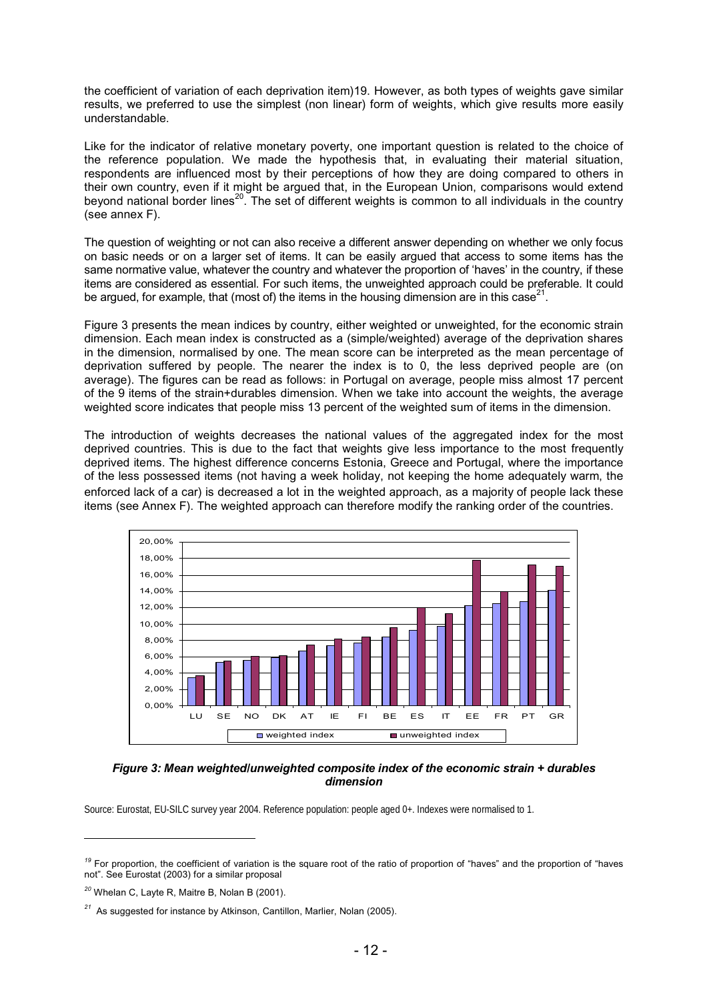the coefficient of variation of each deprivation item)19. However, as both types of weights gave similar results, we preferred to use the simplest (non linear) form of weights, which give results more easily understandable.

Like for the indicator of relative monetary poverty, one important question is related to the choice of the reference population. We made the hypothesis that, in evaluating their material situation, respondents are influenced most by their perceptions of how they are doing compared to others in their own country, even if it might be argued that, in the European Union, comparisons would extend beyond national border lines<sup>20</sup>. The set of different weights is common to all individuals in the country (see annex F).

The question of weighting or not can also receive a different answer depending on whether we only focus on basic needs or on a larger set of items. It can be easily argued that access to some items has the same normative value, whatever the country and whatever the proportion of 'haves' in the country, if these items are considered as essential. For such items, the unweighted approach could be preferable. It could be argued, for example, that (most of) the items in the housing dimension are in this case<sup>21</sup>.

Figure 3 presents the mean indices by country, either weighted or unweighted, for the economic strain dimension. Each mean index is constructed as a (simple/weighted) average of the deprivation shares in the dimension, normalised by one. The mean score can be interpreted as the mean percentage of deprivation suffered by people. The nearer the index is to 0, the less deprived people are (on average). The figures can be read as follows: in Portugal on average, people miss almost 17 percent of the 9 items of the strain+durables dimension. When we take into account the weights, the average weighted score indicates that people miss 13 percent of the weighted sum of items in the dimension.

The introduction of weights decreases the national values of the aggregated index for the most deprived countries. This is due to the fact that weights give less importance to the most frequently deprived items. The highest difference concerns Estonia, Greece and Portugal, where the importance of the less possessed items (not having a week holiday, not keeping the home adequately warm, the enforced lack of a car) is decreased a lot in the weighted approach, as a majority of people lack these items (see Annex F). The weighted approach can therefore modify the ranking order of the countries.



#### *Figure 3: Mean weighted/unweighted composite index of the economic strain + durables dimension*

Source: Eurostat, EU-SILC survey year 2004. Reference population: people aged 0+. Indexes were normalised to 1.

<sup>&</sup>lt;sup>19</sup> For proportion, the coefficient of variation is the square root of the ratio of proportion of "haves" and the proportion of "haves" not". See Eurostat (2003) for a similar proposal

*<sup>20</sup>* Whelan C, Layte R, Maitre B, Nolan B (2001).

*<sup>21</sup>* As suggested for instance by Atkinson, Cantillon, Marlier, Nolan (2005).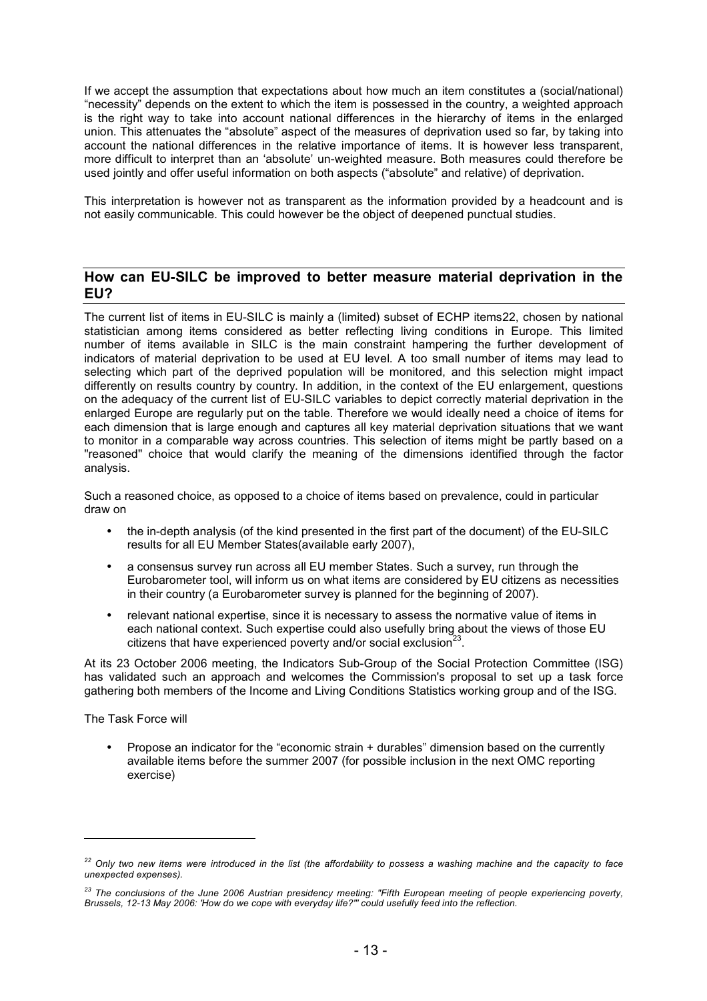If we accept the assumption that expectations about how much an item constitutes a (social/national) "necessity" depends on the extent to which the item is possessed in the country, a weighted approach is the right way to take into account national differences in the hierarchy of items in the enlarged union. This attenuates the "absolute" aspect of the measures of deprivation used so far, by taking into account the national differences in the relative importance of items. It is however less transparent, more difficult to interpret than an 'absolute' un-weighted measure. Both measures could therefore be used jointly and offer useful information on both aspects ("absolute" and relative) of deprivation.

This interpretation is however not as transparent as the information provided by a headcount and is not easily communicable. This could however be the object of deepened punctual studies.

# **How can EU-SILC be improved to better measure material deprivation in the EU?**

The current list of items in EU-SILC is mainly a (limited) subset of ECHP items22, chosen by national statistician among items considered as better reflecting living conditions in Europe. This limited number of items available in SILC is the main constraint hampering the further development of indicators of material deprivation to be used at EU level. A too small number of items may lead to selecting which part of the deprived population will be monitored, and this selection might impact differently on results country by country. In addition, in the context of the EU enlargement, questions on the adequacy of the current list of EU-SILC variables to depict correctly material deprivation in the enlarged Europe are regularly put on the table. Therefore we would ideally need a choice of items for each dimension that is large enough and captures all key material deprivation situations that we want to monitor in a comparable way across countries. This selection of items might be partly based on a "reasoned" choice that would clarify the meaning of the dimensions identified through the factor analysis.

Such a reasoned choice, as opposed to a choice of items based on prevalence, could in particular draw on

- the in-depth analysis (of the kind presented in the first part of the document) of the EU-SILC results for all EU Member States(available early 2007),
- a consensus survey run across all EU member States. Such a survey, run through the Eurobarometer tool, will inform us on what items are considered by EU citizens as necessities in their country (a Eurobarometer survey is planned for the beginning of 2007).
- relevant national expertise, since it is necessary to assess the normative value of items in each national context. Such expertise could also usefully bring about the views of those EU citizens that have experienced poverty and/or social exclusion<sup>23</sup>.

At its 23 October 2006 meeting, the Indicators Sub-Group of the Social Protection Committee (ISG) has validated such an approach and welcomes the Commission's proposal to set up a task force gathering both members of the Income and Living Conditions Statistics working group and of the ISG.

The Task Force will

-

• Propose an indicator for the "economic strain + durables" dimension based on the currently available items before the summer 2007 (for possible inclusion in the next OMC reporting exercise)

*<sup>22</sup> Only two new items were introduced in the list (the affordability to possess a washing machine and the capacity to face unexpected expenses).*

*<sup>23</sup> The conclusions of the June 2006 Austrian presidency meeting: "Fifth European meeting of people experiencing poverty, Brussels, 12-13 May 2006: 'How do we cope with everyday life?"' could usefully feed into the reflection.*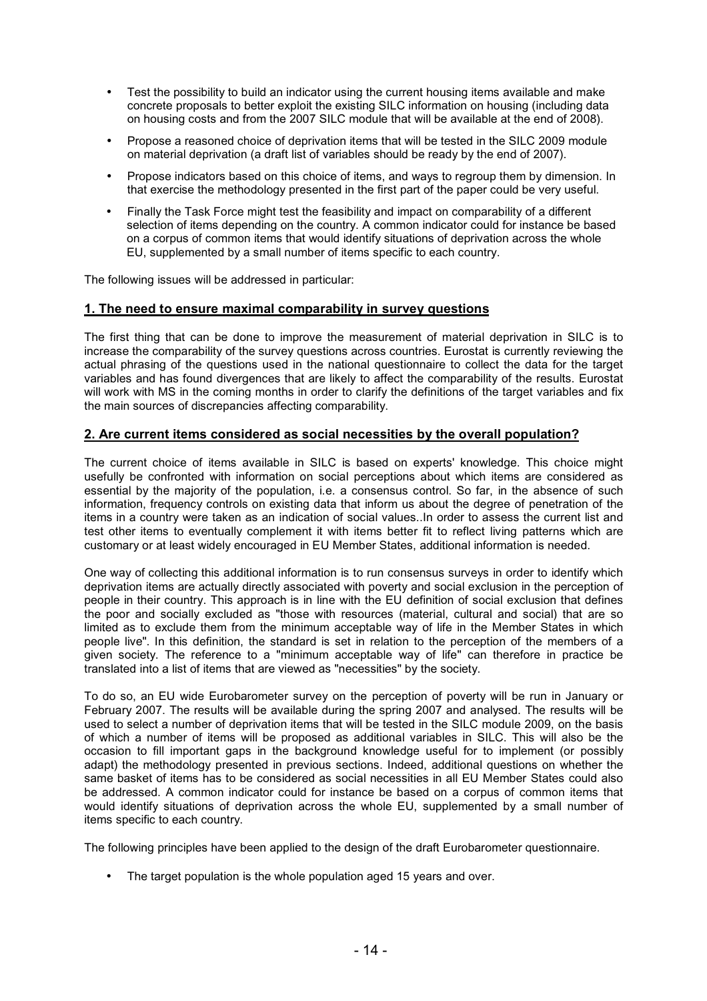- Test the possibility to build an indicator using the current housing items available and make concrete proposals to better exploit the existing SILC information on housing (including data on housing costs and from the 2007 SILC module that will be available at the end of 2008).
- Propose a reasoned choice of deprivation items that will be tested in the SILC 2009 module on material deprivation (a draft list of variables should be ready by the end of 2007).
- Propose indicators based on this choice of items, and ways to regroup them by dimension. In that exercise the methodology presented in the first part of the paper could be very useful.
- Finally the Task Force might test the feasibility and impact on comparability of a different selection of items depending on the country. A common indicator could for instance be based on a corpus of common items that would identify situations of deprivation across the whole EU, supplemented by a small number of items specific to each country.

The following issues will be addressed in particular:

### **1. The need to ensure maximal comparability in survey questions**

The first thing that can be done to improve the measurement of material deprivation in SILC is to increase the comparability of the survey questions across countries. Eurostat is currently reviewing the actual phrasing of the questions used in the national questionnaire to collect the data for the target variables and has found divergences that are likely to affect the comparability of the results. Eurostat will work with MS in the coming months in order to clarify the definitions of the target variables and fix the main sources of discrepancies affecting comparability.

### **2. Are current items considered as social necessities by the overall population?**

The current choice of items available in SILC is based on experts' knowledge. This choice might usefully be confronted with information on social perceptions about which items are considered as essential by the majority of the population, i.e. a consensus control. So far, in the absence of such information, frequency controls on existing data that inform us about the degree of penetration of the items in a country were taken as an indication of social values..In order to assess the current list and test other items to eventually complement it with items better fit to reflect living patterns which are customary or at least widely encouraged in EU Member States, additional information is needed.

One way of collecting this additional information is to run consensus surveys in order to identify which deprivation items are actually directly associated with poverty and social exclusion in the perception of people in their country. This approach is in line with the EU definition of social exclusion that defines the poor and socially excluded as "those with resources (material, cultural and social) that are so limited as to exclude them from the minimum acceptable way of life in the Member States in which people live". In this definition, the standard is set in relation to the perception of the members of a given society. The reference to a "minimum acceptable way of life" can therefore in practice be translated into a list of items that are viewed as "necessities" by the society.

To do so, an EU wide Eurobarometer survey on the perception of poverty will be run in January or February 2007. The results will be available during the spring 2007 and analysed. The results will be used to select a number of deprivation items that will be tested in the SILC module 2009, on the basis of which a number of items will be proposed as additional variables in SILC. This will also be the occasion to fill important gaps in the background knowledge useful for to implement (or possibly adapt) the methodology presented in previous sections. Indeed, additional questions on whether the same basket of items has to be considered as social necessities in all EU Member States could also be addressed. A common indicator could for instance be based on a corpus of common items that would identify situations of deprivation across the whole EU, supplemented by a small number of items specific to each country.

The following principles have been applied to the design of the draft Eurobarometer questionnaire.

• The target population is the whole population aged 15 years and over.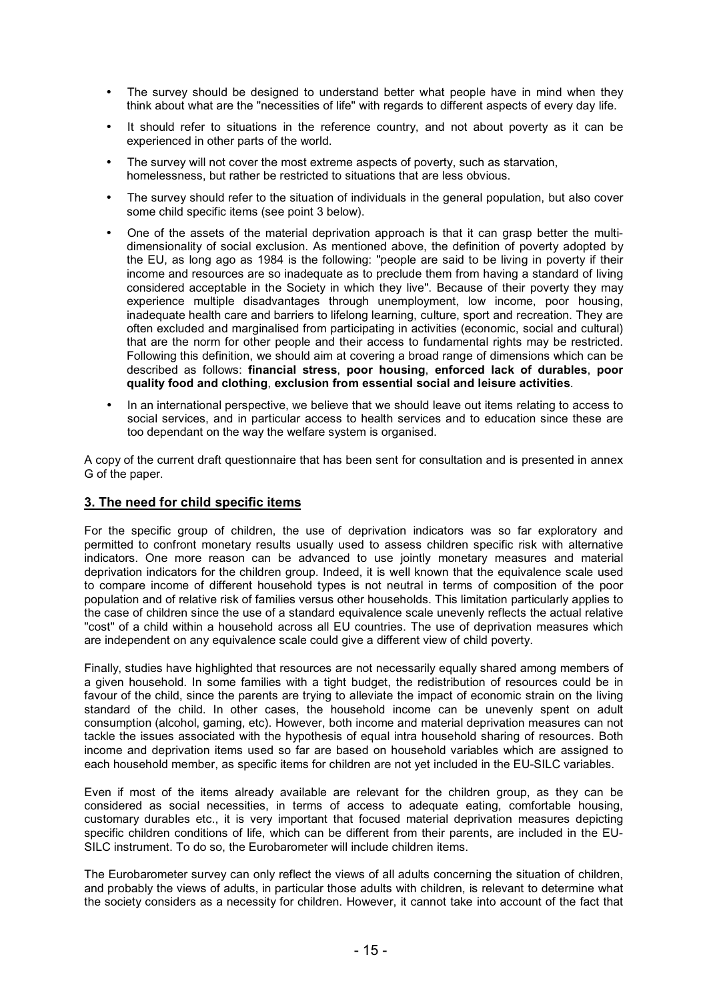- The survey should be designed to understand better what people have in mind when they think about what are the "necessities of life" with regards to different aspects of every day life.
- It should refer to situations in the reference country, and not about poverty as it can be experienced in other parts of the world.
- The survey will not cover the most extreme aspects of poverty, such as starvation, homelessness, but rather be restricted to situations that are less obvious.
- The survey should refer to the situation of individuals in the general population, but also cover some child specific items (see point 3 below).
- One of the assets of the material deprivation approach is that it can grasp better the multidimensionality of social exclusion. As mentioned above, the definition of poverty adopted by the EU, as long ago as 1984 is the following: "people are said to be living in poverty if their income and resources are so inadequate as to preclude them from having a standard of living considered acceptable in the Society in which they live". Because of their poverty they may experience multiple disadvantages through unemployment, low income, poor housing, inadequate health care and barriers to lifelong learning, culture, sport and recreation. They are often excluded and marginalised from participating in activities (economic, social and cultural) that are the norm for other people and their access to fundamental rights may be restricted. Following this definition, we should aim at covering a broad range of dimensions which can be described as follows: **financial stress**, **poor housing**, **enforced lack of durables**, **poor quality food and clothing**, **exclusion from essential social and leisure activities**.
- In an international perspective, we believe that we should leave out items relating to access to social services, and in particular access to health services and to education since these are too dependant on the way the welfare system is organised.

A copy of the current draft questionnaire that has been sent for consultation and is presented in annex G of the paper.

### **3. The need for child specific items**

For the specific group of children, the use of deprivation indicators was so far exploratory and permitted to confront monetary results usually used to assess children specific risk with alternative indicators. One more reason can be advanced to use jointly monetary measures and material deprivation indicators for the children group. Indeed, it is well known that the equivalence scale used to compare income of different household types is not neutral in terms of composition of the poor population and of relative risk of families versus other households. This limitation particularly applies to the case of children since the use of a standard equivalence scale unevenly reflects the actual relative "cost" of a child within a household across all EU countries. The use of deprivation measures which are independent on any equivalence scale could give a different view of child poverty.

Finally, studies have highlighted that resources are not necessarily equally shared among members of a given household. In some families with a tight budget, the redistribution of resources could be in favour of the child, since the parents are trying to alleviate the impact of economic strain on the living standard of the child. In other cases, the household income can be unevenly spent on adult consumption (alcohol, gaming, etc). However, both income and material deprivation measures can not tackle the issues associated with the hypothesis of equal intra household sharing of resources. Both income and deprivation items used so far are based on household variables which are assigned to each household member, as specific items for children are not yet included in the EU-SILC variables.

Even if most of the items already available are relevant for the children group, as they can be considered as social necessities, in terms of access to adequate eating, comfortable housing, customary durables etc., it is very important that focused material deprivation measures depicting specific children conditions of life, which can be different from their parents, are included in the EU-SILC instrument. To do so, the Eurobarometer will include children items.

The Eurobarometer survey can only reflect the views of all adults concerning the situation of children, and probably the views of adults, in particular those adults with children, is relevant to determine what the society considers as a necessity for children. However, it cannot take into account of the fact that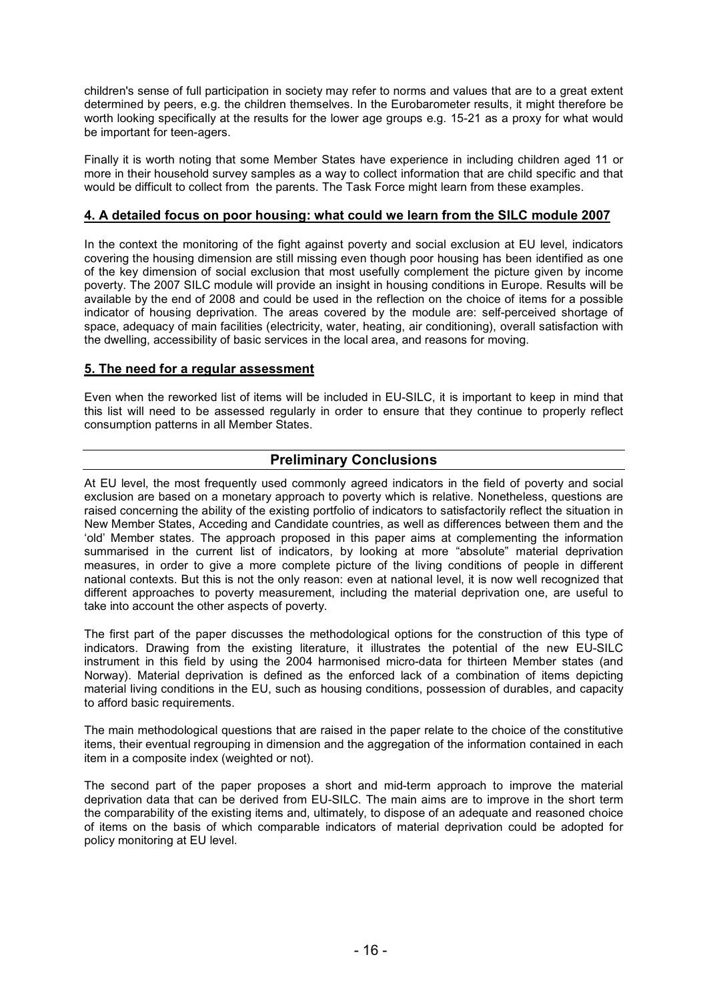children's sense of full participation in society may refer to norms and values that are to a great extent determined by peers, e.g. the children themselves. In the Eurobarometer results, it might therefore be worth looking specifically at the results for the lower age groups e.g. 15-21 as a proxy for what would be important for teen-agers.

Finally it is worth noting that some Member States have experience in including children aged 11 or more in their household survey samples as a way to collect information that are child specific and that would be difficult to collect from the parents. The Task Force might learn from these examples.

# **4. A detailed focus on poor housing: what could we learn from the SILC module 2007**

In the context the monitoring of the fight against poverty and social exclusion at EU level, indicators covering the housing dimension are still missing even though poor housing has been identified as one of the key dimension of social exclusion that most usefully complement the picture given by income poverty. The 2007 SILC module will provide an insight in housing conditions in Europe. Results will be available by the end of 2008 and could be used in the reflection on the choice of items for a possible indicator of housing deprivation. The areas covered by the module are: self-perceived shortage of space, adequacy of main facilities (electricity, water, heating, air conditioning), overall satisfaction with the dwelling, accessibility of basic services in the local area, and reasons for moving.

# **5. The need for a regular assessment**

Even when the reworked list of items will be included in EU-SILC, it is important to keep in mind that this list will need to be assessed regularly in order to ensure that they continue to properly reflect consumption patterns in all Member States.

# **Preliminary Conclusions**

At EU level, the most frequently used commonly agreed indicators in the field of poverty and social exclusion are based on a monetary approach to poverty which is relative. Nonetheless, questions are raised concerning the ability of the existing portfolio of indicators to satisfactorily reflect the situation in New Member States, Acceding and Candidate countries, as well as differences between them and the 'old' Member states. The approach proposed in this paper aims at complementing the information summarised in the current list of indicators, by looking at more "absolute" material deprivation measures, in order to give a more complete picture of the living conditions of people in different national contexts. But this is not the only reason: even at national level, it is now well recognized that different approaches to poverty measurement, including the material deprivation one, are useful to take into account the other aspects of poverty.

The first part of the paper discusses the methodological options for the construction of this type of indicators. Drawing from the existing literature, it illustrates the potential of the new EU-SILC instrument in this field by using the 2004 harmonised micro-data for thirteen Member states (and Norway). Material deprivation is defined as the enforced lack of a combination of items depicting material living conditions in the EU, such as housing conditions, possession of durables, and capacity to afford basic requirements.

The main methodological questions that are raised in the paper relate to the choice of the constitutive items, their eventual regrouping in dimension and the aggregation of the information contained in each item in a composite index (weighted or not).

The second part of the paper proposes a short and mid-term approach to improve the material deprivation data that can be derived from EU-SILC. The main aims are to improve in the short term the comparability of the existing items and, ultimately, to dispose of an adequate and reasoned choice of items on the basis of which comparable indicators of material deprivation could be adopted for policy monitoring at EU level.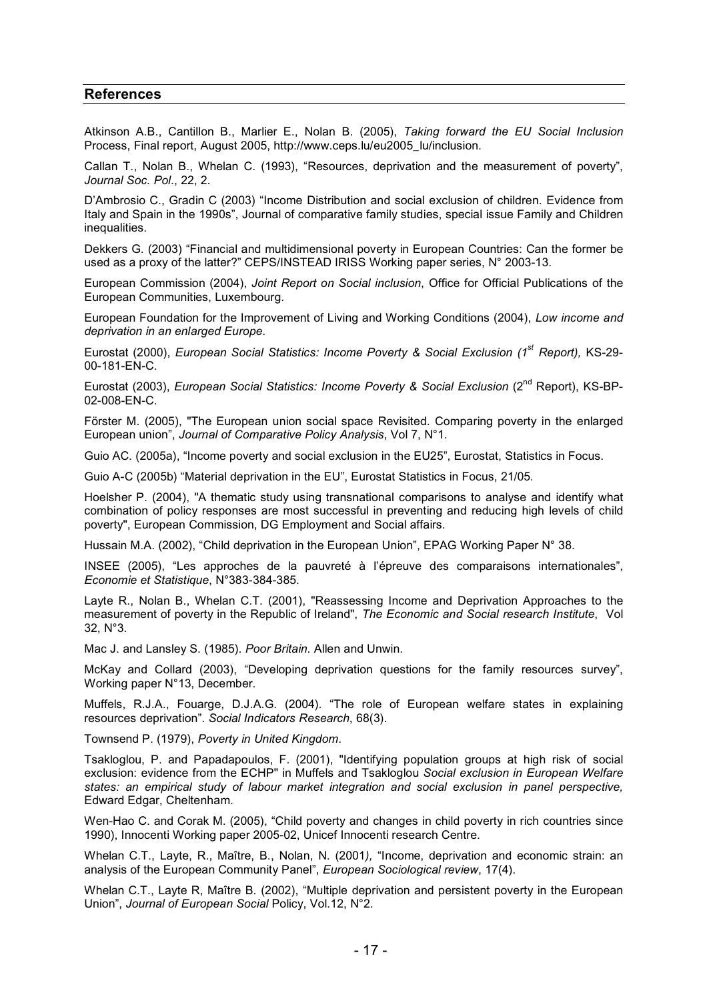### **References**

Atkinson A.B., Cantillon B., Marlier E., Nolan B. (2005), *Taking forward the EU Social Inclusion* Process, Final report, August 2005, http://www.ceps.lu/eu2005\_lu/inclusion.

Callan T., Nolan B., Whelan C. (1993), "Resources, deprivation and the measurement of poverty", *Journal Soc. Pol*., 22, 2.

D'Ambrosio C., Gradin C (2003) "Income Distribution and social exclusion of children. Evidence from Italy and Spain in the 1990s", Journal of comparative family studies, special issue Family and Children inequalities.

Dekkers G. (2003) "Financial and multidimensional poverty in European Countries: Can the former be used as a proxy of the latter?" CEPS/INSTEAD IRISS Working paper series, N° 2003-13.

European Commission (2004), *Joint Report on Social inclusion*, Office for Official Publications of the European Communities, Luxembourg.

European Foundation for the Improvement of Living and Working Conditions (2004), *Low income and deprivation in an enlarged Europe*.

Eurostat (2000), *European Social Statistics: Income Poverty & Social Exclusion (1st Report),* KS-29- 00-181-EN-C.

Eurostat (2003), *European Social Statistics: Income Poverty & Social Exclusion* (2<sup>nd</sup> Report). KS-BP-02-008-EN-C.

Förster M. (2005), "The European union social space Revisited. Comparing poverty in the enlarged European union", *Journal of Comparative Policy Analysis*, Vol 7, N°1.

Guio AC. (2005a), "Income poverty and social exclusion in the EU25", Eurostat, Statistics in Focus.

Guio A-C (2005b) "Material deprivation in the EU", Eurostat Statistics in Focus, 21/05.

Hoelsher P. (2004), "A thematic study using transnational comparisons to analyse and identify what combination of policy responses are most successful in preventing and reducing high levels of child poverty", European Commission, DG Employment and Social affairs.

Hussain M.A. (2002), "Child deprivation in the European Union", EPAG Working Paper N° 38.

INSEE (2005), "Les approches de la pauvreté à l'épreuve des comparaisons internationales", *Economie et Statistique*, N°383-384-385.

Layte R., Nolan B., Whelan C.T. (2001), "Reassessing Income and Deprivation Approaches to the measurement of poverty in the Republic of Ireland", *The Economic and Social research Institute*, Vol 32, N°3.

Mac J. and Lansley S. (1985). *Poor Britain*. Allen and Unwin.

McKay and Collard (2003), "Developing deprivation questions for the family resources survey", Working paper N°13, December.

Muffels, R.J.A., Fouarge, D.J.A.G. (2004). "The role of European welfare states in explaining resources deprivation". *Social Indicators Research*, 68(3).

Townsend P. (1979), *Poverty in United Kingdom*.

Tsakloglou, P. and Papadapoulos, F. (2001), "Identifying population groups at high risk of social exclusion: evidence from the ECHP" in Muffels and Tsakloglou *Social exclusion in European Welfare states: an empirical study of labour market integration and social exclusion in panel perspective,* Edward Edgar, Cheltenham.

Wen-Hao C. and Corak M. (2005), "Child poverty and changes in child poverty in rich countries since 1990), Innocenti Working paper 2005-02, Unicef Innocenti research Centre.

Whelan C.T., Layte, R., Maître, B., Nolan, N. (2001*),* "Income, deprivation and economic strain: an analysis of the European Community Panel", *European Sociological review*, 17(4).

Whelan C.T., Layte R, Maître B. (2002), "Multiple deprivation and persistent poverty in the European Union", *Journal of European Social* Policy, Vol.12, N°2.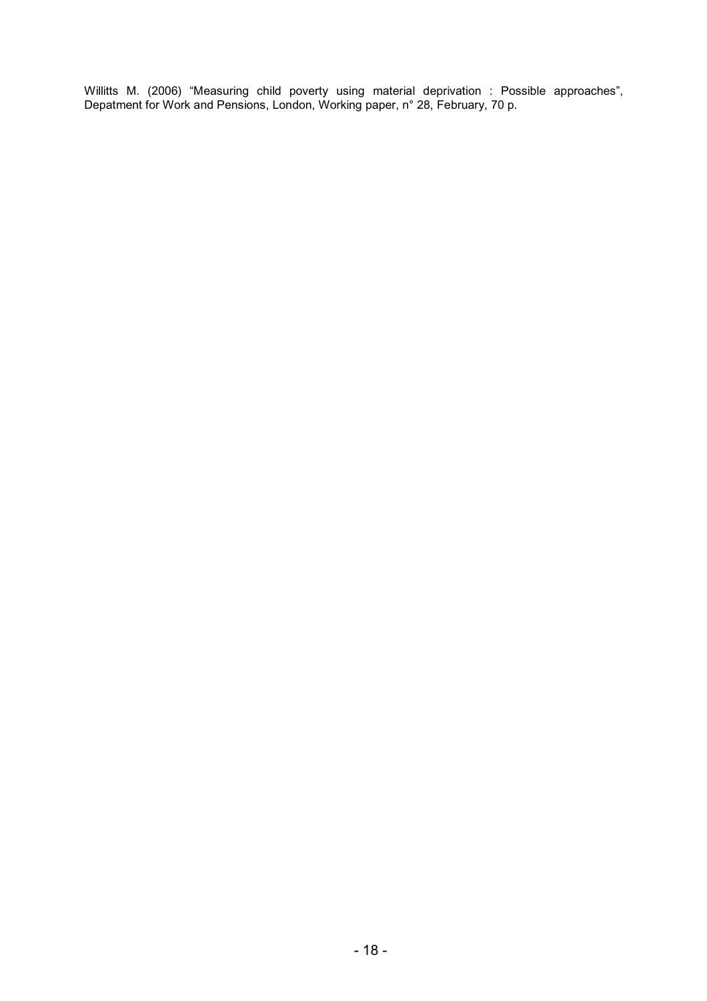Willitts M. (2006) "Measuring child poverty using material deprivation : Possible approaches", Depatment for Work and Pensions, London, Working paper, n° 28, February, 70 p.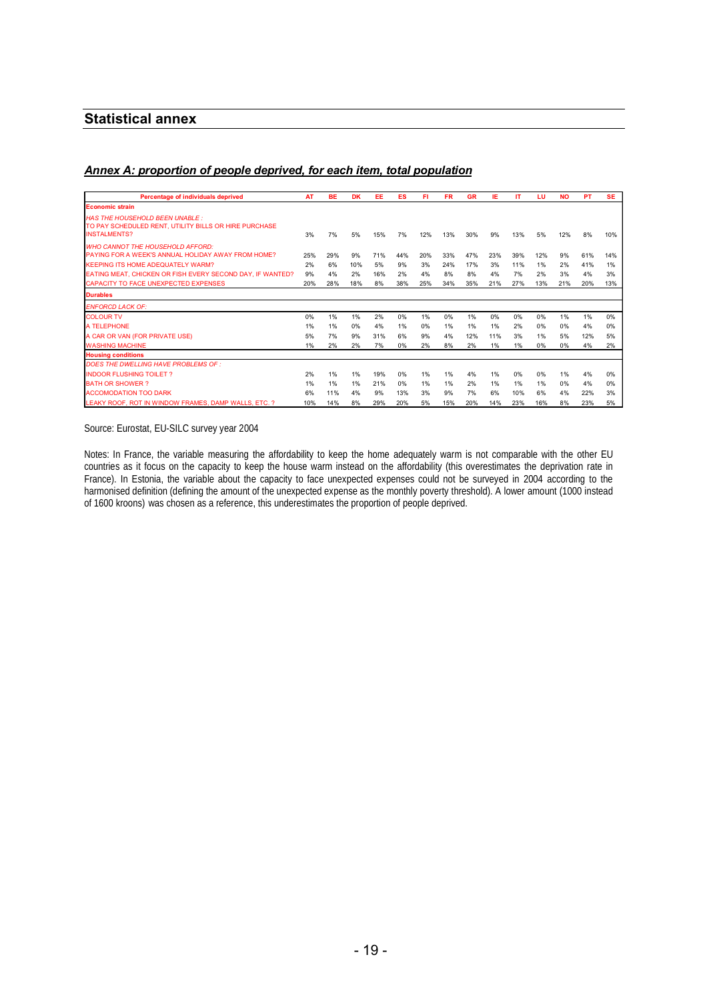# **Statistical annex**

### *Annex A: proportion of people deprived, for each item, total population*

| <b>Percentage of individuals deprived</b>                                                                                                                                                                                                             | AT                     | <b>BE</b>              | <b>DK</b>              | EE                     | ES                     | FI                     | <b>FR</b>               | <b>GR</b>               | IΕ                     | <b>IT</b>               | LU                     | <b>NO</b>             | <b>PT</b>               | <b>SE</b>              |
|-------------------------------------------------------------------------------------------------------------------------------------------------------------------------------------------------------------------------------------------------------|------------------------|------------------------|------------------------|------------------------|------------------------|------------------------|-------------------------|-------------------------|------------------------|-------------------------|------------------------|-----------------------|-------------------------|------------------------|
| <b>Economic strain</b>                                                                                                                                                                                                                                |                        |                        |                        |                        |                        |                        |                         |                         |                        |                         |                        |                       |                         |                        |
| <b>HAS THE HOUSEHOLD BEEN UNABLE:</b><br>TO PAY SCHEDULED RENT, UTILITY BILLS OR HIRE PURCHASE<br><b>INSTALMENTS?</b>                                                                                                                                 | 3%                     | 7%                     | 5%                     | 15%                    | 7%                     | 12%                    | 13%                     | 30%                     | 9%                     | 13%                     | 5%                     | 12%                   | 8%                      | 10%                    |
| <b>WHO CANNOT THE HOUSEHOLD AFFORD:</b><br><b>PAYING FOR A WEEK'S ANNUAL HOLIDAY AWAY FROM HOME?</b><br><b>KEEPING ITS HOME ADEQUATELY WARM?</b><br>EATING MEAT, CHICKEN OR FISH EVERY SECOND DAY, IF WANTED?<br>CAPACITY TO FACE UNEXPECTED EXPENSES | 25%<br>2%<br>9%<br>20% | 29%<br>6%<br>4%<br>28% | 9%<br>10%<br>2%<br>18% | 71%<br>5%<br>16%<br>8% | 44%<br>9%<br>2%<br>38% | 20%<br>3%<br>4%<br>25% | 33%<br>24%<br>8%<br>34% | 47%<br>17%<br>8%<br>35% | 23%<br>3%<br>4%<br>21% | 39%<br>11%<br>7%<br>27% | 12%<br>1%<br>2%<br>13% | 9%<br>2%<br>3%<br>21% | 61%<br>41%<br>4%<br>20% | 14%<br>1%<br>3%<br>13% |
| <b>Durables</b>                                                                                                                                                                                                                                       |                        |                        |                        |                        |                        |                        |                         |                         |                        |                         |                        |                       |                         |                        |
| <b>ENFORCD LACK OF:</b>                                                                                                                                                                                                                               |                        |                        |                        |                        |                        |                        |                         |                         |                        |                         |                        |                       |                         |                        |
| <b>COLOUR TV</b>                                                                                                                                                                                                                                      | 0%                     | 1%                     | 1%                     | 2%                     | 0%                     | 1%                     | 0%                      | 1%                      | 0%                     | 0%                      | 0%                     | 1%                    | 1%                      | 0%                     |
| A TELEPHONE                                                                                                                                                                                                                                           | 1%                     | 1%                     | 0%                     | 4%                     | $1\%$                  | 0%                     | $1\%$                   | 1%                      | 1%                     | 2%                      | 0%                     | 0%                    | 4%                      | 0%                     |
| A CAR OR VAN (FOR PRIVATE USE)                                                                                                                                                                                                                        | 5%                     | 7%                     | 9%                     | 31%                    | 6%                     | 9%                     | 4%                      | 12%                     | 11%                    | 3%                      | 1%                     | 5%                    | 12%                     | 5%                     |
| <b>WASHING MACHINE</b>                                                                                                                                                                                                                                | 1%                     | 2%                     | 2%                     | 7%                     | $0\%$                  | 2%                     | 8%                      | 2%                      | 1%                     | 1%                      | 0%                     | 0%                    | 4%                      | 2%                     |
| <b>Housing conditions</b>                                                                                                                                                                                                                             |                        |                        |                        |                        |                        |                        |                         |                         |                        |                         |                        |                       |                         |                        |
| DOES THE DWELLING HAVE PROBLEMS OF:                                                                                                                                                                                                                   |                        |                        |                        |                        |                        |                        |                         |                         |                        |                         |                        |                       |                         |                        |
| <b>INDOOR FLUSHING TOILET?</b>                                                                                                                                                                                                                        | 2%                     | 1%                     | 1%                     | 19%                    | 0%                     | 1%                     | 1%                      | 4%                      | 1%                     | 0%                      | 0%                     | 1%                    | 4%                      | 0%                     |
| <b>BATH OR SHOWER?</b>                                                                                                                                                                                                                                | 1%                     | 1%                     | 1%                     | 21%                    | 0%                     | $1\%$                  | $1\%$                   | 2%                      | 1%                     | 1%                      | 1%                     | 0%                    | 4%                      | 0%                     |
| <b>ACCOMODATION TOO DARK</b>                                                                                                                                                                                                                          | 6%                     | 11%                    | 4%                     | 9%                     | 13%                    | 3%                     | 9%                      | 7%                      | 6%                     | 10%                     | 6%                     | 4%                    | 22%                     | 3%                     |
| LEAKY ROOF, ROT IN WINDOW FRAMES, DAMP WALLS, ETC. ?                                                                                                                                                                                                  | 10%                    | 14%                    | 8%                     | 29%                    | 20%                    | 5%                     | 15%                     | 20%                     | 14%                    | 23%                     | 16%                    | 8%                    | 23%                     | 5%                     |

Source: Eurostat, EU-SILC survey year 2004

Notes: In France, the variable measuring the affordability to keep the home adequately warm is not comparable with the other EU countries as it focus on the capacity to keep the house warm instead on the affordability (this overestimates the deprivation rate in France). In Estonia, the variable about the capacity to face unexpected expenses could not be surveyed in 2004 according to the harmonised definition (defining the amount of the unexpected expense as the monthly poverty threshold). A lower amount (1000 instead of 1600 kroons) was chosen as a reference, this underestimates the proportion of people deprived.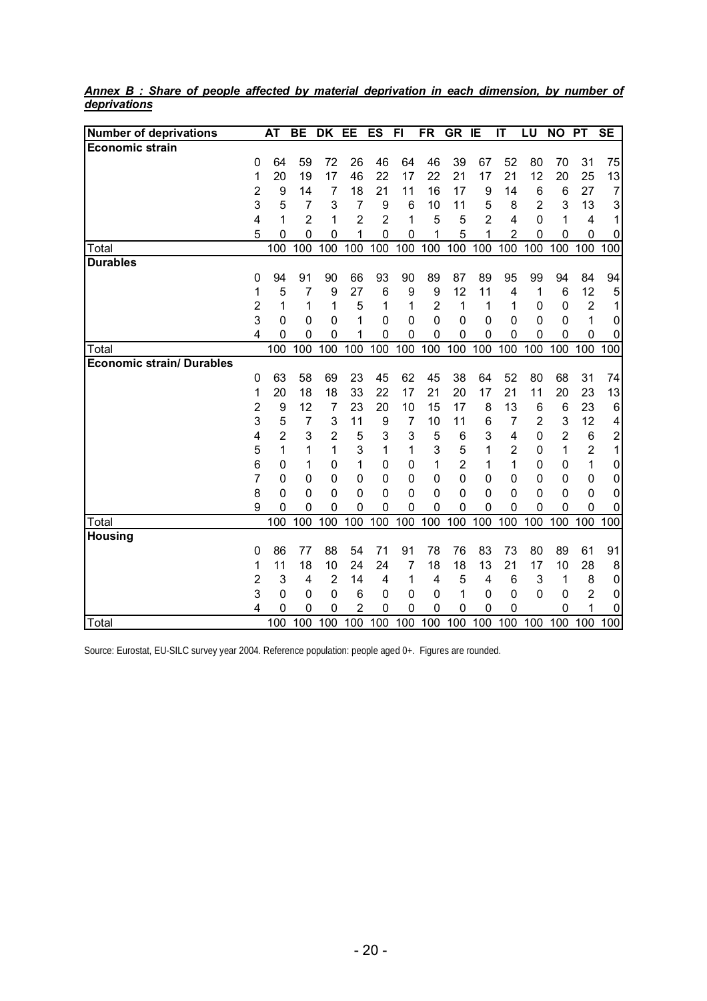| <b>Number of deprivations</b>    |                | <b>AT</b>      | <b>BE</b>           | <b>DK</b>        | EE               | <b>ES</b>      | $\overline{F}$ | <b>FR</b>        | <b>GR</b>                        | IE                         | $\overline{\mathsf{I}\mathsf{T}}$ | LU                  | <b>NO</b>                  | <b>PT</b>                  | <b>SE</b>        |
|----------------------------------|----------------|----------------|---------------------|------------------|------------------|----------------|----------------|------------------|----------------------------------|----------------------------|-----------------------------------|---------------------|----------------------------|----------------------------|------------------|
| <b>Economic strain</b>           |                |                |                     |                  |                  |                |                |                  |                                  |                            |                                   |                     |                            |                            |                  |
|                                  | 0              | 64             | 59                  | 72               | 26               | 46             | 64             | 46               | 39                               | 67                         | 52                                | 80                  | 70                         | 31                         | 75               |
|                                  | 1              | 20             | 19                  | 17               | 46               | 22             | 17             | 22               | 21                               | 17                         | 21                                | 12                  | 20                         | 25                         | 13               |
|                                  | $\overline{c}$ | 9              | 14                  | 7                | 18               | 21             | 11             | 16               | 17                               | 9                          | 14                                | 6                   | 6                          | 27                         | $\overline{7}$   |
|                                  | 3              | 5              | 7                   | 3                | 7                | 9              | 6              | 10               | 11                               | 5                          | 8                                 | $\overline{2}$      | 3                          | 13                         | 3                |
|                                  | 4              | 1              | $\overline{2}$      | 1                | $\overline{2}$   | $\overline{2}$ | 1              | 5                | 5                                | $\overline{2}$             | 4                                 | 0                   | 1                          | 4                          |                  |
|                                  | 5              | 0              | $\mathbf 0$         | 0                | 1                | $\mathbf 0$    | 0              | 1                | 5                                | 1                          | $\overline{2}$                    | 0                   | 0                          | 0                          | 0                |
| Total                            |                | 100            | 100                 | 100              | 100              | 100            | 100            | 100              | 100                              | 100                        | 100                               | 100                 | 100                        | 100                        | 100              |
| <b>Durables</b>                  |                |                |                     |                  |                  |                |                |                  |                                  |                            |                                   |                     |                            |                            |                  |
|                                  | 0              | 94             | 91                  | 90               | 66               | 93             | 90             | 89               | 87                               | 89                         | 95                                | 99                  | 94                         | 84                         | 94               |
|                                  | 1              | 5              | 7                   | 9                | 27               | 6              | 9              | 9                | 12                               | 11                         | 4                                 | 1                   | $6\phantom{1}6$            | 12                         | 5                |
|                                  | 2              | 1              | 1                   | 1                | 5                | 1              | 1              | 2                | 1                                | 1                          | 1                                 | 0                   | 0                          | $\overline{2}$             | 1                |
|                                  | 3              | 0              | $\mathbf 0$         | 0                | 1                | 0              | 0              | $\mathbf 0$      | $\mathbf 0$                      | $\mathbf 0$                | 0                                 | 0                   | $\mathbf{0}$               | 1                          | 0                |
|                                  | 4              | 0              | $\Omega$            | $\mathbf{0}$     | 1                | 0              | 0              | $\Omega$         | $\mathbf 0$                      | $\Omega$                   | 0                                 | $\Omega$            | $\mathbf 0$                | $\mathbf 0$                | 0                |
| Total                            |                | 100            | 100                 | 100              | 100              | 100            | 100            | 100              | 100                              | 100                        | 100                               | 100                 | 100                        | 100                        | 100              |
| <b>Economic strain/ Durables</b> |                |                |                     |                  |                  |                |                |                  |                                  |                            |                                   |                     |                            |                            |                  |
|                                  | 0              | 63             | 58                  | 69               | 23               | 45             | 62             | 45               | 38                               | 64                         | 52                                | 80                  | 68                         | 31                         | 74               |
|                                  | 1              | 20             | 18                  | 18               | 33               | 22             | 17             | 21               | 20                               | 17                         | 21                                | 11                  | 20                         | 23                         | 13               |
|                                  | $\overline{2}$ | 9              | 12                  | $\overline{7}$   | 23               | 20             | 10             | 15               | 17                               | 8                          | 13                                | 6                   | $\,6$                      | 23                         | $\,6$            |
|                                  | 3              | 5              | 7                   | 3                | 11               | 9              | 7              | 10               | 11                               | 6                          | 7                                 | $\overline{2}$      | 3                          | 12                         | 4                |
|                                  | 4              | $\overline{2}$ | 3                   | 2                | 5                | 3              | 3              | 5                | $6\phantom{1}6$                  | 3                          | 4                                 | 0                   | $\overline{2}$             | $\,6$                      | $\overline{c}$   |
|                                  | 5<br>6         | 1              | 1<br>1              | 1                | 3                | 1              | 1              | 3                | 5                                | 1                          | $\overline{2}$                    | 0                   | 1                          | $\overline{2}$             | 1                |
|                                  | $\overline{7}$ | 0              |                     | 0                | 1                | 0              | 0              | 1                | $\overline{2}$<br>$\overline{0}$ | 1                          | 1                                 | 0                   | 0                          | 1                          | 0                |
|                                  | 8              | 0<br>0         | 0<br>$\overline{0}$ | 0<br>$\mathbf 0$ | 0<br>$\mathbf 0$ | 0<br>0         | 0<br>0         | 0<br>$\mathbf 0$ | $\mathbf 0$                      | $\mathbf 0$<br>$\mathbf 0$ | 0<br>0                            | 0<br>$\overline{0}$ | $\mathbf 0$<br>$\mathbf 0$ | $\mathbf 0$<br>$\mathbf 0$ | 0                |
|                                  | 9              | 0              | 0                   | 0                | 0                | 0              | 0              | $\mathbf 0$      | $\mathbf 0$                      | 0                          | 0                                 | 0                   | $\mathbf 0$                | $\boldsymbol{0}$           | $\mathbf 0$<br>0 |
| Total                            |                | 100            | 100                 | 100              | 100              | 100            | 100            | 100              | 100                              | 100                        | 100                               | 100                 | 100                        | 100                        | 100              |
| <b>Housing</b>                   |                |                |                     |                  |                  |                |                |                  |                                  |                            |                                   |                     |                            |                            |                  |
|                                  | 0              | 86             | 77                  | 88               | 54               | 71             | 91             | 78               | 76                               | 83                         | 73                                | 80                  | 89                         | 61                         | 91               |
|                                  | 1              | 11             | 18                  | 10               | 24               | 24             | 7              | 18               | 18                               | 13                         | 21                                | 17                  | 10                         | 28                         | 8                |
|                                  | 2              | 3              | 4                   | $\overline{2}$   | 14               | 4              | 1              | 4                | 5                                | $\overline{4}$             | 6                                 | 3                   | 1                          | 8                          | 0                |
|                                  | 3              | 0              | 0                   | $\mathbf 0$      | 6                | 0              | 0              | 0                | 1                                | $\mathbf 0$                | 0                                 | $\Omega$            | $\mathbf 0$                | $\overline{2}$             | 0                |
|                                  | 4              | 0              | 0                   | 0                | 2                | 0              | 0              | 0                | 0                                | 0                          | 0                                 |                     | $\mathbf 0$                | 1                          | 0                |
| Total                            |                | 100            | 100                 | 100              | 100              | 100            | 100            | 100              | 100                              | 100                        | 100                               |                     | 100 100                    | 100                        | 100              |

*Annex B : Share of people affected by material deprivation in each dimension, by number of deprivations*

Source: Eurostat, EU-SILC survey year 2004. Reference population: people aged 0+. Figures are rounded.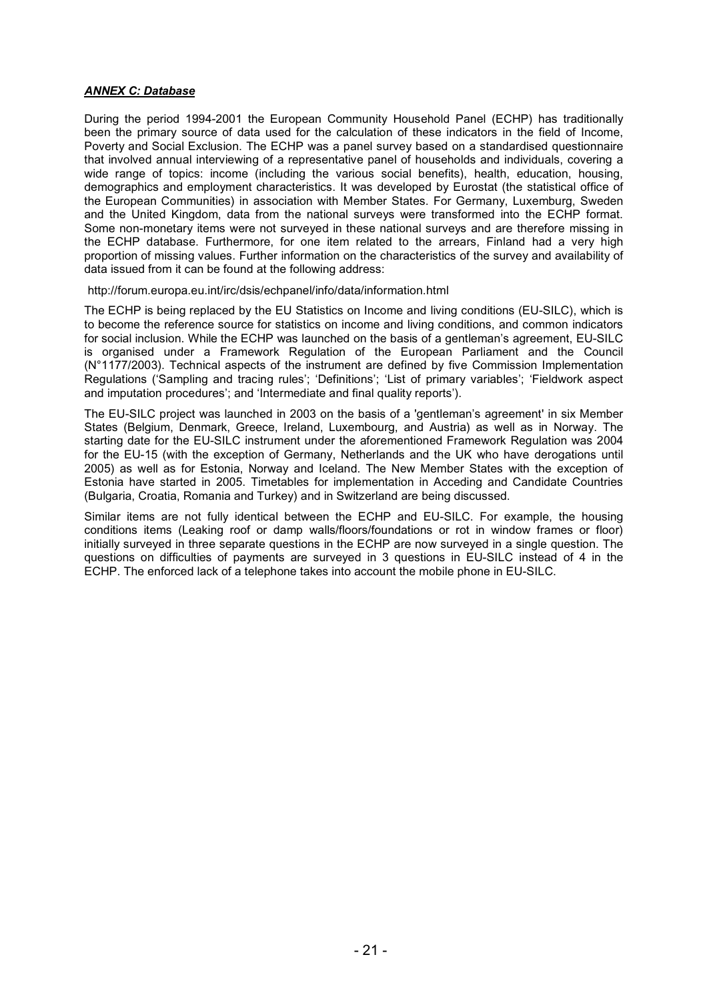#### *ANNEX C: Database*

During the period 1994-2001 the European Community Household Panel (ECHP) has traditionally been the primary source of data used for the calculation of these indicators in the field of Income, Poverty and Social Exclusion. The ECHP was a panel survey based on a standardised questionnaire that involved annual interviewing of a representative panel of households and individuals, covering a wide range of topics: income (including the various social benefits), health, education, housing, demographics and employment characteristics. It was developed by Eurostat (the statistical office of the European Communities) in association with Member States. For Germany, Luxemburg, Sweden and the United Kingdom, data from the national surveys were transformed into the ECHP format. Some non-monetary items were not surveyed in these national surveys and are therefore missing in the ECHP database. Furthermore, for one item related to the arrears, Finland had a very high proportion of missing values. Further information on the characteristics of the survey and availability of data issued from it can be found at the following address:

http://forum.europa.eu.int/irc/dsis/echpanel/info/data/information.html

The ECHP is being replaced by the EU Statistics on Income and living conditions (EU-SILC), which is to become the reference source for statistics on income and living conditions, and common indicators for social inclusion. While the ECHP was launched on the basis of a gentleman's agreement, EU-SILC is organised under a Framework Regulation of the European Parliament and the Council (N°1177/2003). Technical aspects of the instrument are defined by five Commission Implementation Regulations ('Sampling and tracing rules'; 'Definitions'; 'List of primary variables'; 'Fieldwork aspect and imputation procedures'; and 'Intermediate and final quality reports').

The EU-SILC project was launched in 2003 on the basis of a 'gentleman's agreement' in six Member States (Belgium, Denmark, Greece, Ireland, Luxembourg, and Austria) as well as in Norway. The starting date for the EU-SILC instrument under the aforementioned Framework Regulation was 2004 for the EU-15 (with the exception of Germany, Netherlands and the UK who have derogations until 2005) as well as for Estonia, Norway and Iceland. The New Member States with the exception of Estonia have started in 2005. Timetables for implementation in Acceding and Candidate Countries (Bulgaria, Croatia, Romania and Turkey) and in Switzerland are being discussed.

Similar items are not fully identical between the ECHP and EU-SILC. For example, the housing conditions items (Leaking roof or damp walls/floors/foundations or rot in window frames or floor) initially surveyed in three separate questions in the ECHP are now surveyed in a single question. The questions on difficulties of payments are surveyed in 3 questions in EU-SILC instead of 4 in the ECHP. The enforced lack of a telephone takes into account the mobile phone in EU-SILC.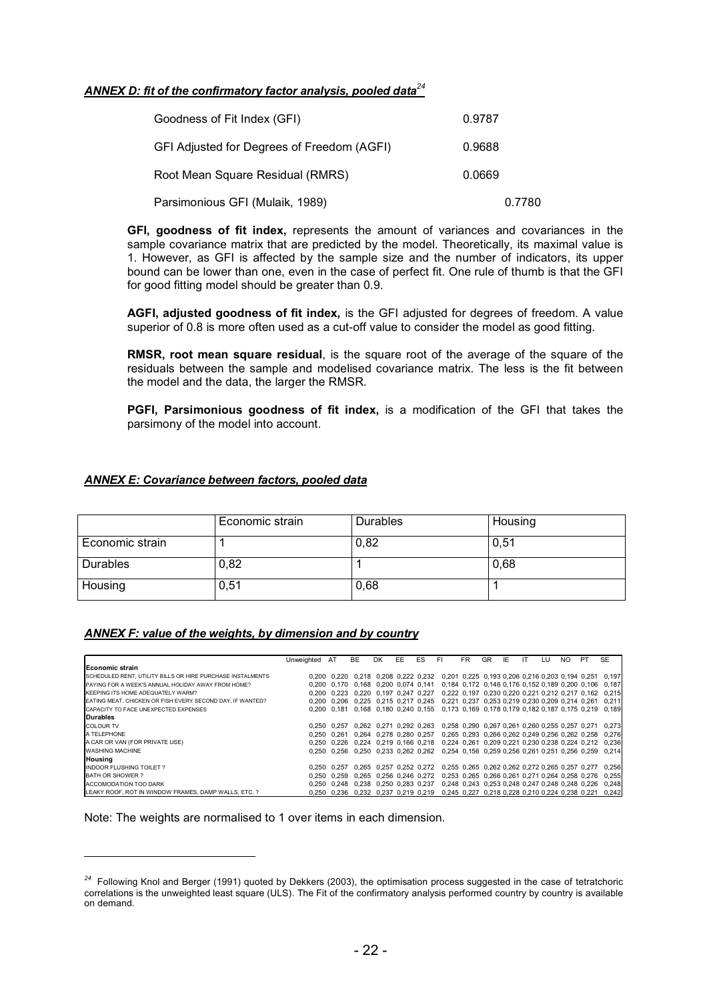### *ANNEX D: fit of the confirmatory factor analysis, pooled data<sup>24</sup>*

| Goodness of Fit Index (GFI)                | 0.9787 |
|--------------------------------------------|--------|
| GFI Adjusted for Degrees of Freedom (AGFI) | 0.9688 |
| Root Mean Square Residual (RMRS)           | 0.0669 |
| Parsimonious GFI (Mulaik, 1989)            | 0.7780 |

**GFI, goodness of fit index,** represents the amount of variances and covariances in the sample covariance matrix that are predicted by the model. Theoretically, its maximal value is 1. However, as GFI is affected by the sample size and the number of indicators, its upper bound can be lower than one, even in the case of perfect fit. One rule of thumb is that the GFI for good fitting model should be greater than 0.9.

**AGFI, adjusted goodness of fit index,** is the GFI adjusted for degrees of freedom. A value superior of 0.8 is more often used as a cut-off value to consider the model as good fitting.

**RMSR, root mean square residual**, is the square root of the average of the square of the residuals between the sample and modelised covariance matrix. The less is the fit between the model and the data, the larger the RMSR.

**PGFI, Parsimonious goodness of fit index,** is a modification of the GFI that takes the parsimony of the model into account.

### *ANNEX E: Covariance between factors, pooled data*

|                 | Economic strain | Durables | Housing |
|-----------------|-----------------|----------|---------|
| Economic strain |                 | 0,82     | 0,51    |
| Durables        | 0,82            |          | 0,68    |
| Housing         | 0,51            | 0,68     |         |

#### *ANNEX F: value of the weights, by dimension and by country*

|                                                            | Unweighted | AT          | BE                            | DK.                     | EE | ES | FI                                                                      | <b>FR</b>                                       | GR | IE | LU | NO. | PT | <b>SE</b>                                                                                 |
|------------------------------------------------------------|------------|-------------|-------------------------------|-------------------------|----|----|-------------------------------------------------------------------------|-------------------------------------------------|----|----|----|-----|----|-------------------------------------------------------------------------------------------|
| <b>Economic strain</b>                                     |            |             |                               |                         |    |    |                                                                         |                                                 |    |    |    |     |    |                                                                                           |
| SCHEDULED RENT, UTILITY BILLS OR HIRE PURCHASE INSTALMENTS |            | 0.200 0.220 |                               |                         |    |    | 0.218 0.208 0.222 0.232 0.201 0.225 0.193 0.206 0.216 0.203 0.194 0.251 |                                                 |    |    |    |     |    | 0.197                                                                                     |
| PAYING FOR A WEEK'S ANNUAL HOLIDAY AWAY FROM HOME?         |            |             |                               |                         |    |    |                                                                         |                                                 |    |    |    |     |    | 0,200 0,170 0,168 0,200 0,074 0,141 0,184 0,172 0,146 0,176 0,152 0,189 0,200 0,106 0,187 |
| KEEPING ITS HOME ADEQUATELY WARM?                          |            |             |                               |                         |    |    |                                                                         |                                                 |    |    |    |     |    | 0,200 0,223 0,220 0,197 0,247 0,227 0,222 0,197 0,230 0,220 0,221 0,212 0,217 0,162 0,215 |
| EATING MEAT, CHICKEN OR FISH EVERY SECOND DAY, IF WANTED?  | 0.200      |             | 0.206 0.225 0.215 0.217 0.245 |                         |    |    | 0.221 0.237 0.253 0.219 0.230 0.209 0.214 0.261                         |                                                 |    |    |    |     |    | 0.211                                                                                     |
| CAPACITY TO FACE UNEXPECTED EXPENSES                       |            |             |                               |                         |    |    |                                                                         |                                                 |    |    |    |     |    | 0.200 0.181 0.168 0.180 0.240 0.155 0.173 0.169 0.178 0.179 0.182 0.187 0.175 0.219 0.189 |
| Durables                                                   |            |             |                               |                         |    |    |                                                                         |                                                 |    |    |    |     |    |                                                                                           |
| <b>COLOUR TV</b>                                           |            | 0.250 0.257 |                               | 0.262 0.271 0.292 0.263 |    |    |                                                                         | 0.258 0.290 0.267 0.261 0.260 0.255 0.257 0.271 |    |    |    |     |    | 0.273                                                                                     |
| A TELEPHONE                                                |            | 0.250 0.261 | 0.264 0.278 0.280 0.257       |                         |    |    |                                                                         | 0.265 0.293 0.266 0.262 0.249 0.256 0.262 0.258 |    |    |    |     |    | 0.276                                                                                     |
| A CAR OR VAN (FOR PRIVATE USE)                             | 0.250      |             | 0.226 0,224 0,219 0,166 0,218 |                         |    |    |                                                                         | 0,224 0,261 0,209 0,221 0,230 0,238 0,224 0,212 |    |    |    |     |    | 0.236                                                                                     |
| <b>WASHING MACHINE</b>                                     | 0.250      |             | 0.256 0.250 0.233 0.262 0.262 |                         |    |    |                                                                         | 0,254 0,156 0,259 0,256 0,261 0,251 0,256 0,259 |    |    |    |     |    | 0.214                                                                                     |
| Housing                                                    |            |             |                               |                         |    |    |                                                                         |                                                 |    |    |    |     |    |                                                                                           |
| INDOOR FLUSHING TOILET?                                    |            | 0.250 0.257 |                               | 0.265 0.257 0.252 0.272 |    |    |                                                                         | 0.255 0.265 0.262 0.262 0.272 0.265 0.257 0.277 |    |    |    |     |    | 0.256                                                                                     |
| BATH OR SHOWER?                                            |            | 0.250 0.259 |                               | 0.265 0.256 0.246 0.272 |    |    |                                                                         | 0.253 0.265 0.266 0.261 0.271 0.264 0.258 0.276 |    |    |    |     |    | 0.255                                                                                     |
| ACCOMODATION TOO DARK                                      | 0.250      | 0.248       |                               | 0.238 0.250 0.283 0.237 |    |    |                                                                         | 0.248 0.243 0.253 0.248 0.247 0.248 0.248 0.226 |    |    |    |     |    | 0.248                                                                                     |
| LEAKY ROOF, ROT IN WINDOW FRAMES, DAMP WALLS, ETC, ?       |            | 0.250 0.236 | 0.232 0.237 0.219 0.219       |                         |    |    |                                                                         | 0.245 0.227 0.218 0.228 0.210 0.224 0.238 0.221 |    |    |    |     |    | 0.242                                                                                     |

Note: The weights are normalised to 1 over items in each dimension.

j

*<sup>24</sup>* Following Knol and Berger (1991) quoted by Dekkers (2003), the optimisation process suggested in the case of tetratchoric correlations is the unweighted least square (ULS). The Fit of the confirmatory analysis performed country by country is available on demand.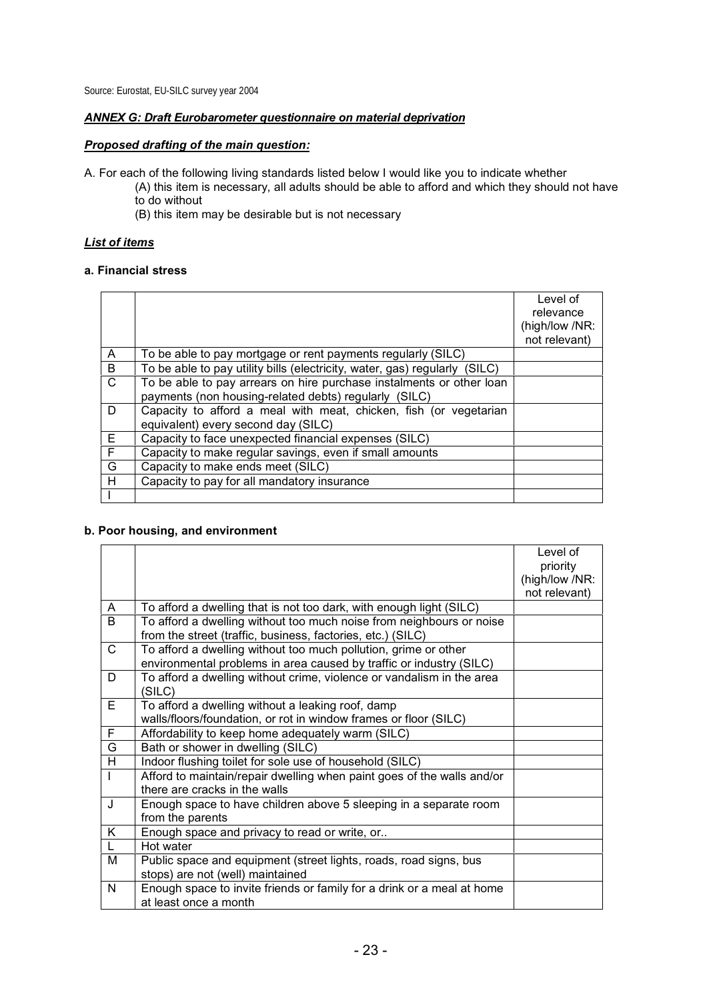Source: Eurostat, EU-SILC survey year 2004

### *ANNEX G: Draft Eurobarometer questionnaire on material deprivation*

### *Proposed drafting of the main question:*

- A. For each of the following living standards listed below I would like you to indicate whether
	- (A) this item is necessary, all adults should be able to afford and which they should not have to do without
		- (B) this item may be desirable but is not necessary

### *List of items*

#### **a. Financial stress**

|              |                                                                            | Level of<br>relevance<br>(high/low /NR: |
|--------------|----------------------------------------------------------------------------|-----------------------------------------|
|              |                                                                            | not relevant)                           |
| A            | To be able to pay mortgage or rent payments regularly (SILC)               |                                         |
| B            | To be able to pay utility bills (electricity, water, gas) regularly (SILC) |                                         |
| $\mathsf{C}$ | To be able to pay arrears on hire purchase instalments or other loan       |                                         |
|              | payments (non housing-related debts) regularly (SILC)                      |                                         |
| D.           | Capacity to afford a meal with meat, chicken, fish (or vegetarian          |                                         |
|              | equivalent) every second day (SILC)                                        |                                         |
| E            | Capacity to face unexpected financial expenses (SILC)                      |                                         |
| F.           | Capacity to make regular savings, even if small amounts                    |                                         |
| G            | Capacity to make ends meet (SILC)                                          |                                         |
| H            | Capacity to pay for all mandatory insurance                                |                                         |
|              |                                                                            |                                         |

#### **b. Poor housing, and environment**

|                |                                                                        | Level of       |
|----------------|------------------------------------------------------------------------|----------------|
|                |                                                                        | priority       |
|                |                                                                        | (high/low /NR: |
|                |                                                                        | not relevant)  |
| A              | To afford a dwelling that is not too dark, with enough light (SILC)    |                |
| B              | To afford a dwelling without too much noise from neighbours or noise   |                |
|                | from the street (traffic, business, factories, etc.) (SILC)            |                |
| $\mathsf{C}$   | To afford a dwelling without too much pollution, grime or other        |                |
|                | environmental problems in area caused by traffic or industry (SILC)    |                |
| D              | To afford a dwelling without crime, violence or vandalism in the area  |                |
|                | (SILC)                                                                 |                |
| $\overline{E}$ | To afford a dwelling without a leaking roof, damp                      |                |
|                | walls/floors/foundation, or rot in window frames or floor (SILC)       |                |
| F.             | Affordability to keep home adequately warm (SILC)                      |                |
| G              | Bath or shower in dwelling (SILC)                                      |                |
| H              | Indoor flushing toilet for sole use of household (SILC)                |                |
| $\mathbf{I}$   | Afford to maintain/repair dwelling when paint goes of the walls and/or |                |
|                | there are cracks in the walls                                          |                |
| J              | Enough space to have children above 5 sleeping in a separate room      |                |
|                | from the parents                                                       |                |
| K              | Enough space and privacy to read or write, or                          |                |
| L              | Hot water                                                              |                |
| М              | Public space and equipment (street lights, roads, road signs, bus      |                |
|                | stops) are not (well) maintained                                       |                |
| $\mathsf{N}$   | Enough space to invite friends or family for a drink or a meal at home |                |
|                | at least once a month                                                  |                |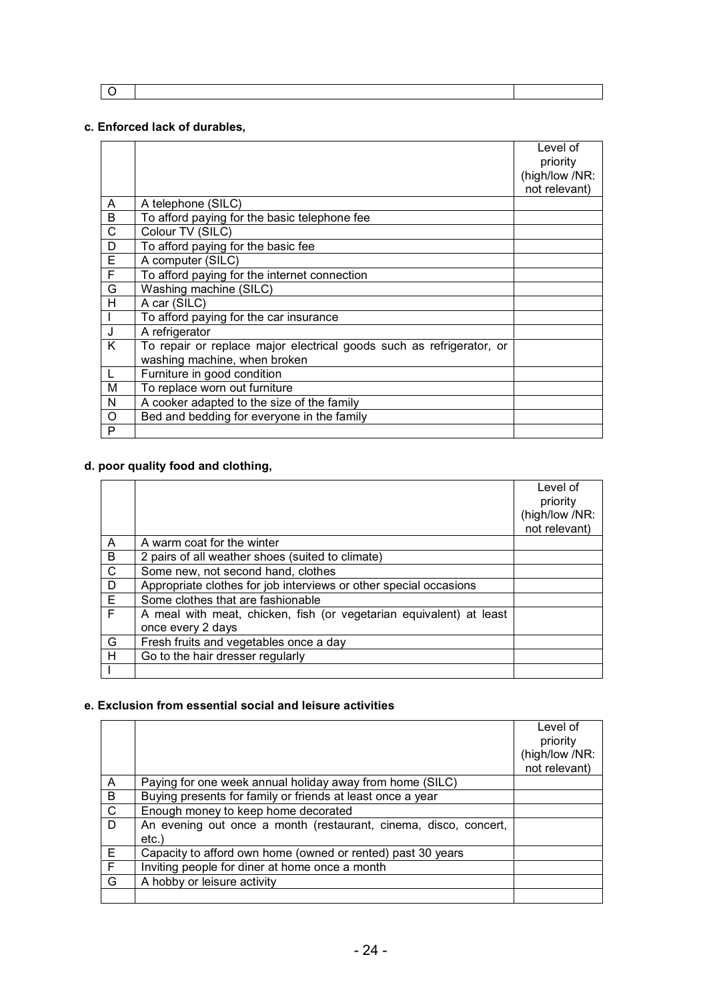O

### **c. Enforced lack of durables,**

|                |                                                                      | Level of       |
|----------------|----------------------------------------------------------------------|----------------|
|                |                                                                      | priority       |
|                |                                                                      | (high/low /NR: |
|                |                                                                      | not relevant)  |
| A              | A telephone (SILC)                                                   |                |
| B              | To afford paying for the basic telephone fee                         |                |
| $\overline{C}$ | Colour TV (SILC)                                                     |                |
| D              | To afford paying for the basic fee                                   |                |
| $\overline{E}$ | A computer (SILC)                                                    |                |
| F              | To afford paying for the internet connection                         |                |
| G              | Washing machine (SILC)                                               |                |
| H              | A car (SILC)                                                         |                |
|                | To afford paying for the car insurance                               |                |
| $\mathsf{J}$   | A refrigerator                                                       |                |
| K              | To repair or replace major electrical goods such as refrigerator, or |                |
|                | washing machine, when broken                                         |                |
| $\mathsf{L}$   | Furniture in good condition                                          |                |
| M              | To replace worn out furniture                                        |                |
| N              | A cooker adapted to the size of the family                           |                |
| $\circ$        | Bed and bedding for everyone in the family                           |                |
| P              |                                                                      |                |

### **d. poor quality food and clothing,**

|              |                                                                     | Level of       |
|--------------|---------------------------------------------------------------------|----------------|
|              |                                                                     | priority       |
|              |                                                                     | (high/low /NR: |
|              |                                                                     | not relevant)  |
| A            | A warm coat for the winter                                          |                |
| B            | 2 pairs of all weather shoes (suited to climate)                    |                |
| $\mathsf{C}$ | Some new, not second hand, clothes                                  |                |
| D            | Appropriate clothes for job interviews or other special occasions   |                |
| E            | Some clothes that are fashionable                                   |                |
| F            | A meal with meat, chicken, fish (or vegetarian equivalent) at least |                |
|              | once every 2 days                                                   |                |
| G            | Fresh fruits and vegetables once a day                              |                |
| н            | Go to the hair dresser regularly                                    |                |
|              |                                                                     |                |

### **e. Exclusion from essential social and leisure activities**

|              |                                                                  | Level of<br>priority<br>(high/low /NR: |
|--------------|------------------------------------------------------------------|----------------------------------------|
|              |                                                                  | not relevant)                          |
| A            | Paying for one week annual holiday away from home (SILC)         |                                        |
| B            | Buying presents for family or friends at least once a year       |                                        |
| $\mathsf{C}$ | Enough money to keep home decorated                              |                                        |
| D.           | An evening out once a month (restaurant, cinema, disco, concert, |                                        |
|              | etc.)                                                            |                                        |
| Е            | Capacity to afford own home (owned or rented) past 30 years      |                                        |
| F            | Inviting people for diner at home once a month                   |                                        |
| G            | A hobby or leisure activity                                      |                                        |
|              |                                                                  |                                        |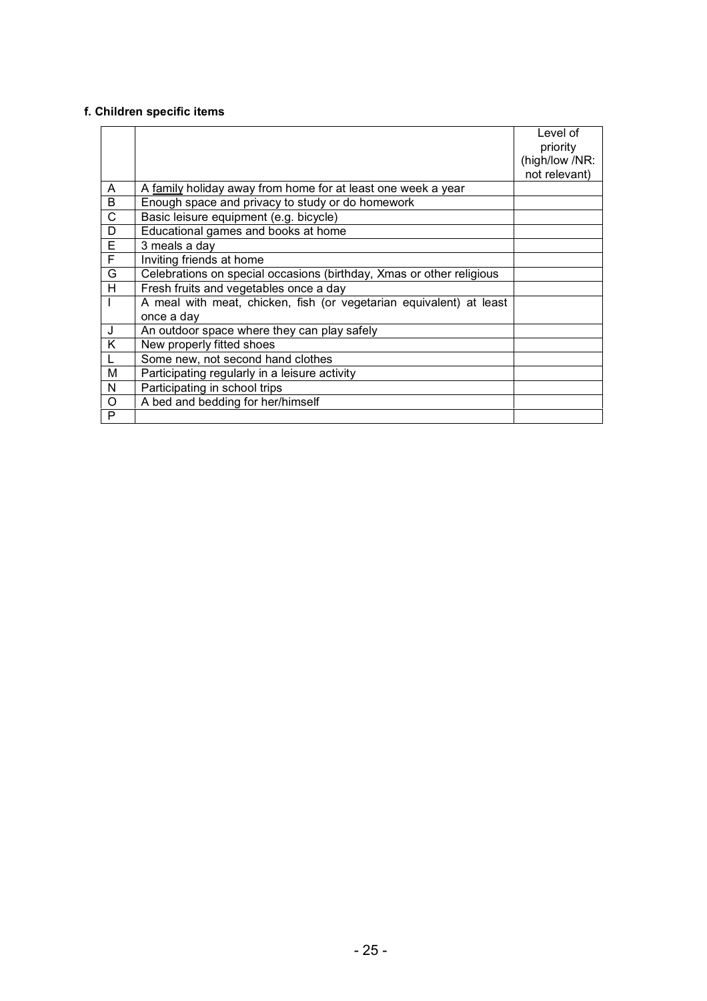# **f. Children specific items**

|             |                                                                      | Level of       |
|-------------|----------------------------------------------------------------------|----------------|
|             |                                                                      | priority       |
|             |                                                                      | (high/low /NR: |
|             |                                                                      | not relevant)  |
| A           | A family holiday away from home for at least one week a year         |                |
| B           | Enough space and privacy to study or do homework                     |                |
| C           | Basic leisure equipment (e.g. bicycle)                               |                |
| D           | Educational games and books at home                                  |                |
| E           | 3 meals a day                                                        |                |
| $\mathsf F$ | Inviting friends at home                                             |                |
| G           | Celebrations on special occasions (birthday, Xmas or other religious |                |
| H           | Fresh fruits and vegetables once a day                               |                |
|             | A meal with meat, chicken, fish (or vegetarian equivalent) at least  |                |
|             | once a day                                                           |                |
| J           | An outdoor space where they can play safely                          |                |
| K           | New properly fitted shoes                                            |                |
|             | Some new, not second hand clothes                                    |                |
| M           | Participating regularly in a leisure activity                        |                |
| N           | Participating in school trips                                        |                |
| $\circ$     | A bed and bedding for her/himself                                    |                |
| P           |                                                                      |                |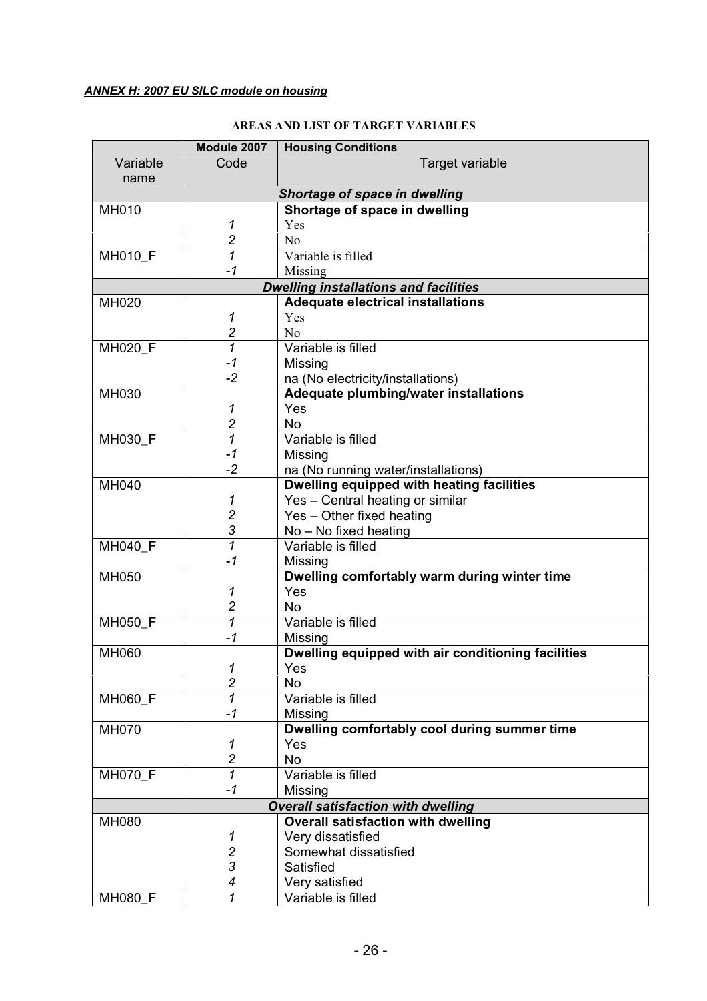# **AREAS AND LIST OF TARGET VARIABLES**

|                                           | Module 2007              | <b>Housing Conditions</b>                                     |  |
|-------------------------------------------|--------------------------|---------------------------------------------------------------|--|
| Variable                                  | Code                     | Target variable                                               |  |
| name                                      |                          |                                                               |  |
|                                           |                          | Shortage of space in dwelling                                 |  |
| <b>MH010</b>                              |                          | Shortage of space in dwelling                                 |  |
|                                           | 1                        | Yes                                                           |  |
|                                           | $\overline{c}$           | N <sub>0</sub>                                                |  |
| MH010_F                                   | $\overline{\mathcal{I}}$ | Variable is filled                                            |  |
|                                           | $-1$                     | Missing                                                       |  |
|                                           |                          | <b>Dwelling installations and facilities</b>                  |  |
| <b>MH020</b>                              |                          | <b>Adequate electrical installations</b>                      |  |
|                                           | 1                        | Yes                                                           |  |
|                                           | $\overline{c}$           | N <sub>o</sub>                                                |  |
| MH020_F                                   | $\overline{1}$           | Variable is filled                                            |  |
|                                           | $-1$                     | Missing                                                       |  |
|                                           | $-2$                     | na (No electricity/installations)                             |  |
| <b>MH030</b>                              |                          | Adequate plumbing/water installations                         |  |
|                                           | 1                        | Yes                                                           |  |
|                                           | $\overline{c}$           | <b>No</b>                                                     |  |
| MH030 F                                   | $\mathcal{I}$            | Variable is filled                                            |  |
|                                           | $-1$                     | Missing                                                       |  |
|                                           | $-2$                     | na (No running water/installations)                           |  |
| <b>MH040</b>                              |                          | Dwelling equipped with heating facilities                     |  |
|                                           | 1                        | Yes - Central heating or similar                              |  |
|                                           | $\overline{c}$           | Yes - Other fixed heating                                     |  |
|                                           | 3                        | $No - No$ fixed heating                                       |  |
| <b>MH040 F</b>                            | 1                        | Variable is filled                                            |  |
|                                           | $-1$                     | Missing                                                       |  |
| MH050                                     |                          | Dwelling comfortably warm during winter time                  |  |
|                                           | 1<br>$\boldsymbol{2}$    | Yes<br><b>No</b>                                              |  |
|                                           | $\overline{1}$           | Variable is filled                                            |  |
| MH050_F                                   | $-1$                     |                                                               |  |
| MH060                                     |                          | Missing<br>Dwelling equipped with air conditioning facilities |  |
|                                           | 1                        |                                                               |  |
|                                           | $\overline{c}$           | Yes<br><b>No</b>                                              |  |
| MH060_F                                   | 1                        | Variable is filled                                            |  |
|                                           | $-1$                     | Missing                                                       |  |
| <b>MH070</b>                              |                          | Dwelling comfortably cool during summer time                  |  |
|                                           | 1                        | Yes                                                           |  |
|                                           | $\overline{c}$           | <b>No</b>                                                     |  |
| <b>MH070_F</b>                            | 1                        | Variable is filled                                            |  |
|                                           | $-1$                     | Missing                                                       |  |
| <b>Overall satisfaction with dwelling</b> |                          |                                                               |  |
| <b>MH080</b>                              |                          | <b>Overall satisfaction with dwelling</b>                     |  |
|                                           | 1                        | Very dissatisfied                                             |  |
|                                           | $\overline{c}$           | Somewhat dissatisfied                                         |  |
|                                           | 3                        | Satisfied                                                     |  |
|                                           | 4                        | Very satisfied                                                |  |
| MH080_F                                   | 1                        | Variable is filled                                            |  |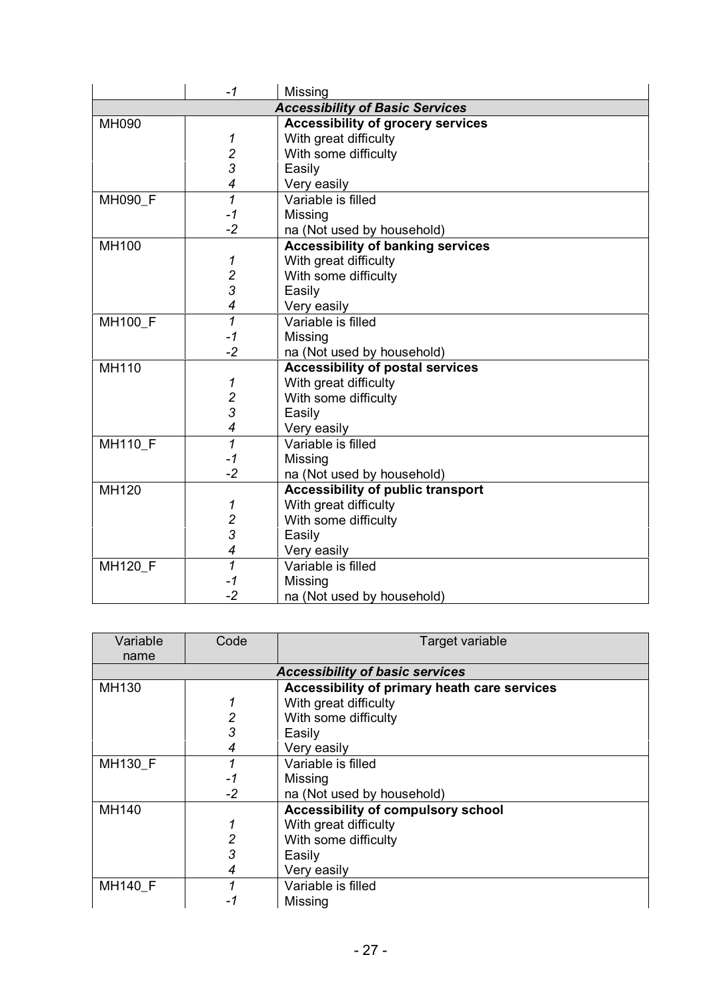|                                        | $-1$                     | Missing                                  |  |
|----------------------------------------|--------------------------|------------------------------------------|--|
| <b>Accessibility of Basic Services</b> |                          |                                          |  |
| <b>MH090</b>                           |                          | <b>Accessibility of grocery services</b> |  |
|                                        | 1                        | With great difficulty                    |  |
|                                        | $\frac{2}{3}$            | With some difficulty                     |  |
|                                        |                          | Easily                                   |  |
|                                        | 4                        | Very easily                              |  |
| MH090 F                                | $\overline{1}$           | Variable is filled                       |  |
|                                        | $-1$                     | Missing                                  |  |
|                                        | $-2$                     | na (Not used by household)               |  |
| <b>MH100</b>                           |                          | <b>Accessibility of banking services</b> |  |
|                                        | 1                        | With great difficulty                    |  |
|                                        | $\frac{2}{3}$            | With some difficulty                     |  |
|                                        |                          | Easily                                   |  |
|                                        | 4                        | Very easily                              |  |
| <b>MH100 F</b>                         | $\overline{1}$           | Variable is filled                       |  |
|                                        | $-1$                     | Missing                                  |  |
|                                        | $-2$                     | na (Not used by household)               |  |
| <b>MH110</b>                           |                          | <b>Accessibility of postal services</b>  |  |
|                                        | 1                        | With great difficulty                    |  |
|                                        | $\frac{2}{3}$            | With some difficulty                     |  |
|                                        |                          | Easily                                   |  |
|                                        | $\overline{\mathcal{A}}$ | Very easily                              |  |
| <b>MH110 F</b>                         | $\overline{1}$           | Variable is filled                       |  |
|                                        | $-1$                     | Missing                                  |  |
|                                        | $-2$                     | na (Not used by household)               |  |
| <b>MH120</b>                           |                          | <b>Accessibility of public transport</b> |  |
|                                        | 1                        | With great difficulty                    |  |
|                                        | $\overline{c}$           | With some difficulty                     |  |
|                                        | 3                        | Easily                                   |  |
|                                        | $\overline{\mathcal{A}}$ | Very easily                              |  |
| <b>MH120 F</b>                         | $\overline{1}$           | Variable is filled                       |  |
|                                        | -1                       | Missing                                  |  |
|                                        | $-2$                     | na (Not used by household)               |  |

| Variable       | Code                                   | Target variable                              |  |  |
|----------------|----------------------------------------|----------------------------------------------|--|--|
| name           |                                        |                                              |  |  |
|                | <b>Accessibility of basic services</b> |                                              |  |  |
| MH130          |                                        | Accessibility of primary heath care services |  |  |
|                | 1                                      | With great difficulty                        |  |  |
|                | $\overline{2}$                         | With some difficulty                         |  |  |
|                | 3                                      | Easily                                       |  |  |
|                | 4                                      | Very easily                                  |  |  |
| MH130 F        |                                        | Variable is filled                           |  |  |
|                | -1                                     | Missing                                      |  |  |
|                | $-2$                                   | na (Not used by household)                   |  |  |
| MH140          |                                        | Accessibility of compulsory school           |  |  |
|                |                                        | With great difficulty                        |  |  |
|                | $\overline{2}$                         | With some difficulty                         |  |  |
|                | 3                                      | Easily                                       |  |  |
|                | 4                                      | Very easily                                  |  |  |
| <b>MH140 F</b> |                                        | Variable is filled                           |  |  |
|                | -1                                     | Missing                                      |  |  |